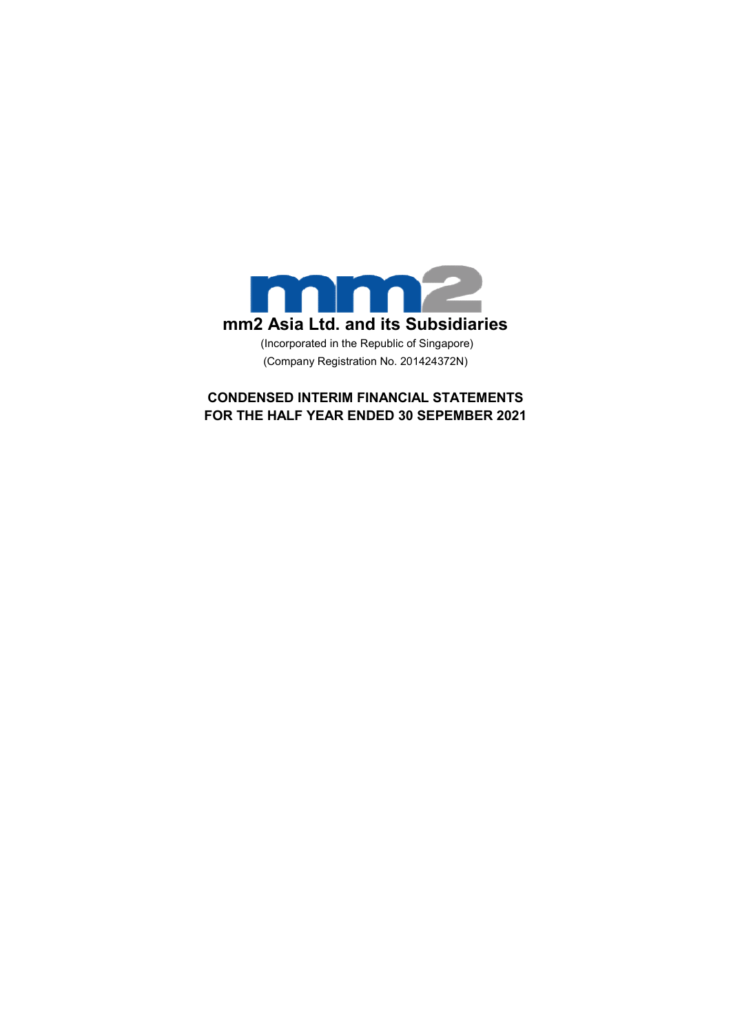

CONDENSED INTERIM FINANCIAL STATEMENTS FOR THE HALF YEAR ENDED 30 SEPEMBER 2021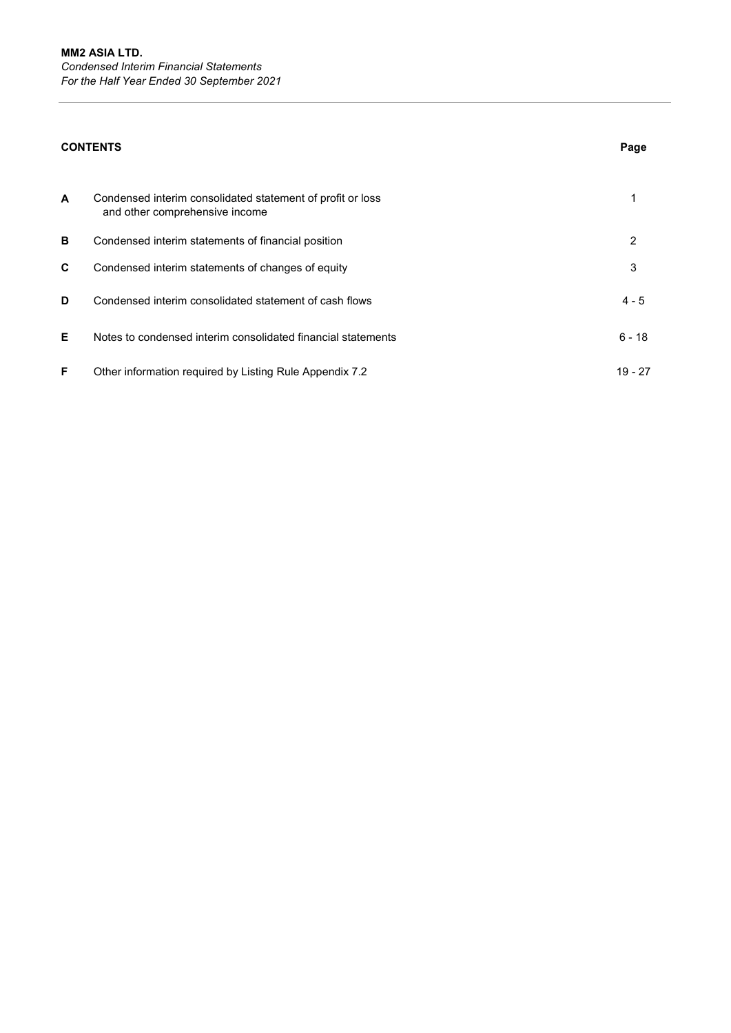# CONTENTS Page

| A | Condensed interim consolidated statement of profit or loss<br>and other comprehensive income |           |
|---|----------------------------------------------------------------------------------------------|-----------|
| в | Condensed interim statements of financial position                                           | 2         |
| C | Condensed interim statements of changes of equity                                            | 3         |
| D | Condensed interim consolidated statement of cash flows                                       | $4 - 5$   |
| Е | Notes to condensed interim consolidated financial statements                                 | $6 - 18$  |
| F | Other information required by Listing Rule Appendix 7.2                                      | $19 - 27$ |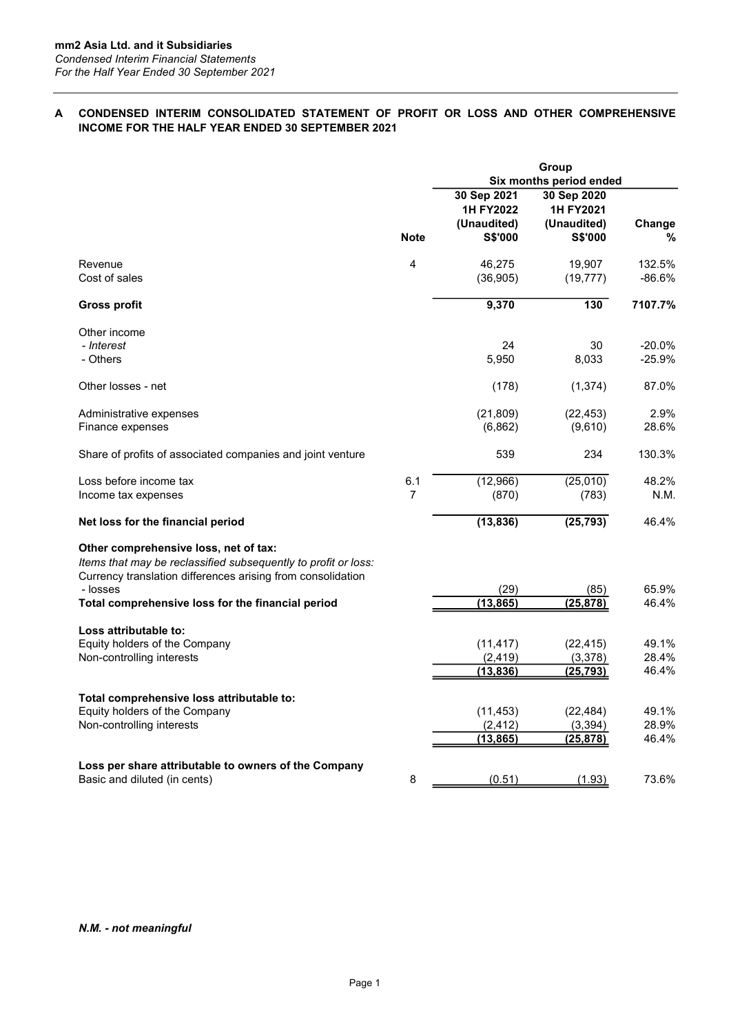#### A CONDENSED INTERIM CONSOLIDATED STATEMENT OF PROFIT OR LOSS AND OTHER COMPREHENSIVE INCOME FOR THE HALF YEAR ENDED 30 SEPTEMBER 2021

|                                                                                                                                                                                                                                         |                       | Group<br>Six months period ended                          |                                                                  |                               |  |
|-----------------------------------------------------------------------------------------------------------------------------------------------------------------------------------------------------------------------------------------|-----------------------|-----------------------------------------------------------|------------------------------------------------------------------|-------------------------------|--|
|                                                                                                                                                                                                                                         | <b>Note</b>           | 30 Sep 2021<br>1H FY2022<br>(Unaudited)<br><b>S\$'000</b> | 30 Sep 2020<br><b>1H FY2021</b><br>(Unaudited)<br><b>S\$'000</b> | Change<br>%                   |  |
| Revenue<br>Cost of sales                                                                                                                                                                                                                | 4                     | 46,275<br>(36, 905)                                       | 19,907<br>(19, 777)                                              | 132.5%<br>$-86.6%$            |  |
| <b>Gross profit</b>                                                                                                                                                                                                                     |                       | 9,370                                                     | 130                                                              | 7107.7%                       |  |
| Other income<br>- Interest<br>- Others<br>Other losses - net                                                                                                                                                                            |                       | 24<br>5,950<br>(178)                                      | 30<br>8,033<br>(1, 374)                                          | $-20.0%$<br>$-25.9%$<br>87.0% |  |
| Administrative expenses<br>Finance expenses                                                                                                                                                                                             |                       | (21, 809)<br>(6, 862)                                     | (22, 453)<br>(9,610)                                             | 2.9%<br>28.6%                 |  |
| Share of profits of associated companies and joint venture                                                                                                                                                                              |                       | 539                                                       | 234                                                              | 130.3%                        |  |
| Loss before income tax<br>Income tax expenses                                                                                                                                                                                           | 6.1<br>$\overline{7}$ | (12,966)<br>(870)                                         | (25,010)<br>(783)                                                | 48.2%<br>N.M.                 |  |
| Net loss for the financial period                                                                                                                                                                                                       |                       | (13, 836)                                                 | (25, 793)                                                        | 46.4%                         |  |
| Other comprehensive loss, net of tax:<br>Items that may be reclassified subsequently to profit or loss:<br>Currency translation differences arising from consolidation<br>- losses<br>Total comprehensive loss for the financial period |                       | (29)<br>(13, 865)                                         | (85)<br>(25, 878)                                                | 65.9%<br>46.4%                |  |
| Loss attributable to:<br>Equity holders of the Company<br>Non-controlling interests                                                                                                                                                     |                       | (11, 417)<br>(2, 419)<br>(13,836)                         | (22, 415)<br>(3,378)<br>(25, 793)                                | 49.1%<br>28.4%<br>46.4%       |  |
| Total comprehensive loss attributable to:<br>Equity holders of the Company<br>Non-controlling interests                                                                                                                                 |                       | (11, 453)<br>(2, 412)<br>(13, 865)                        | (22, 484)<br>(3, 394)<br>(25, 878)                               | 49.1%<br>28.9%<br>46.4%       |  |
| Loss per share attributable to owners of the Company<br>Basic and diluted (in cents)                                                                                                                                                    | 8                     | (0.51)                                                    | (1.93)                                                           | 73.6%                         |  |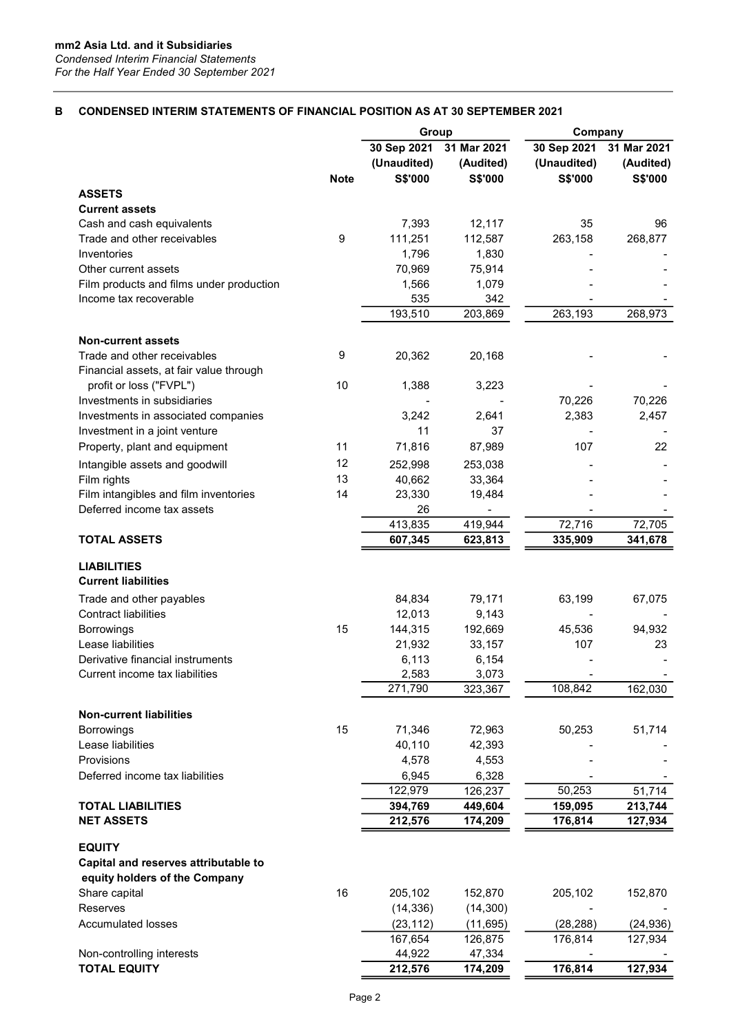# B CONDENSED INTERIM STATEMENTS OF FINANCIAL POSITION AS AT 30 SEPTEMBER 2021

|                                                                       |                  | Group                      |                          | Company                    |                          |  |
|-----------------------------------------------------------------------|------------------|----------------------------|--------------------------|----------------------------|--------------------------|--|
|                                                                       |                  | 30 Sep 2021<br>(Unaudited) | 31 Mar 2021<br>(Audited) | 30 Sep 2021<br>(Unaudited) | 31 Mar 2021<br>(Audited) |  |
|                                                                       | <b>Note</b>      | <b>S\$'000</b>             | <b>S\$'000</b>           | <b>S\$'000</b>             | S\$'000                  |  |
| <b>ASSETS</b>                                                         |                  |                            |                          |                            |                          |  |
| <b>Current assets</b>                                                 |                  |                            |                          |                            |                          |  |
| Cash and cash equivalents                                             |                  | 7,393                      | 12,117                   | 35                         | 96                       |  |
| Trade and other receivables                                           | $\boldsymbol{9}$ | 111,251                    | 112,587                  | 263,158                    | 268,877                  |  |
| Inventories                                                           |                  | 1,796                      | 1,830                    |                            |                          |  |
| Other current assets                                                  |                  | 70,969                     | 75,914                   |                            |                          |  |
| Film products and films under production                              |                  | 1,566                      | 1,079                    |                            |                          |  |
| Income tax recoverable                                                |                  | 535                        | 342                      |                            |                          |  |
|                                                                       |                  | 193,510                    | 203,869                  | 263,193                    | 268,973                  |  |
| <b>Non-current assets</b>                                             |                  |                            |                          |                            |                          |  |
| Trade and other receivables                                           | 9                | 20,362                     | 20,168                   |                            |                          |  |
| Financial assets, at fair value through                               |                  |                            |                          |                            |                          |  |
| profit or loss ("FVPL")                                               | 10               | 1,388                      | 3,223                    |                            |                          |  |
| Investments in subsidiaries                                           |                  |                            |                          | 70,226                     | 70,226                   |  |
| Investments in associated companies                                   |                  | 3.242                      | 2,641                    | 2,383                      | 2,457                    |  |
| Investment in a joint venture                                         |                  | 11                         | 37                       |                            |                          |  |
| Property, plant and equipment                                         | 11               | 71,816                     | 87,989                   | 107                        | 22                       |  |
|                                                                       | 12               |                            |                          |                            |                          |  |
| Intangible assets and goodwill                                        | 13               | 252,998                    | 253,038                  |                            |                          |  |
| Film rights                                                           | 14               | 40,662                     | 33,364                   |                            |                          |  |
| Film intangibles and film inventories<br>Deferred income tax assets   |                  | 23,330<br>26               | 19,484                   |                            |                          |  |
|                                                                       |                  | 413,835                    | 419,944                  | 72,716                     | 72,705                   |  |
| <b>TOTAL ASSETS</b>                                                   |                  | 607,345                    | 623,813                  | 335,909                    | 341,678                  |  |
|                                                                       |                  |                            |                          |                            |                          |  |
| <b>LIABILITIES</b><br><b>Current liabilities</b>                      |                  |                            |                          |                            |                          |  |
| Trade and other payables                                              |                  | 84,834                     | 79,171                   | 63,199                     | 67,075                   |  |
| <b>Contract liabilities</b>                                           |                  | 12,013                     | 9,143                    |                            |                          |  |
| <b>Borrowings</b>                                                     | 15               | 144,315                    | 192,669                  | 45,536                     | 94,932                   |  |
| Lease liabilities                                                     |                  | 21,932                     | 33,157                   | 107                        | 23                       |  |
| Derivative financial instruments                                      |                  | 6,113                      | 6,154                    |                            |                          |  |
| Current income tax liabilities                                        |                  | 2,583                      | 3,073                    |                            |                          |  |
|                                                                       |                  | 271,790                    | 323,367                  | 108,842                    | 162,030                  |  |
|                                                                       |                  |                            |                          |                            |                          |  |
| <b>Non-current liabilities</b>                                        |                  |                            |                          |                            |                          |  |
| <b>Borrowings</b>                                                     | 15               | 71,346                     | 72,963                   | 50,253                     | 51,714                   |  |
| Lease liabilities                                                     |                  | 40,110                     | 42,393                   |                            |                          |  |
| Provisions                                                            |                  | 4,578                      | 4,553                    |                            |                          |  |
| Deferred income tax liabilities                                       |                  | 6,945                      | 6,328                    |                            |                          |  |
|                                                                       |                  | 122,979                    | 126,237                  | 50,253                     | 51,714                   |  |
| <b>TOTAL LIABILITIES</b>                                              |                  | 394,769<br>212,576         | 449,604                  | 159,095                    | 213,744                  |  |
| <b>NET ASSETS</b>                                                     |                  |                            | 174,209                  | 176,814                    | 127,934                  |  |
| <b>EQUITY</b>                                                         |                  |                            |                          |                            |                          |  |
| Capital and reserves attributable to<br>equity holders of the Company |                  |                            |                          |                            |                          |  |
| Share capital                                                         | 16               | 205,102                    | 152,870                  | 205,102                    | 152,870                  |  |
| Reserves                                                              |                  | (14, 336)                  | (14,300)                 |                            |                          |  |
| <b>Accumulated losses</b>                                             |                  | (23, 112)                  | (11, 695)                | (28, 288)                  | (24, 936)                |  |
|                                                                       |                  | 167,654                    | 126,875                  | 176,814                    | 127,934                  |  |
| Non-controlling interests                                             |                  | 44,922                     | 47,334                   |                            |                          |  |
| <b>TOTAL EQUITY</b>                                                   |                  | 212,576                    | 174,209                  | 176,814                    | 127,934                  |  |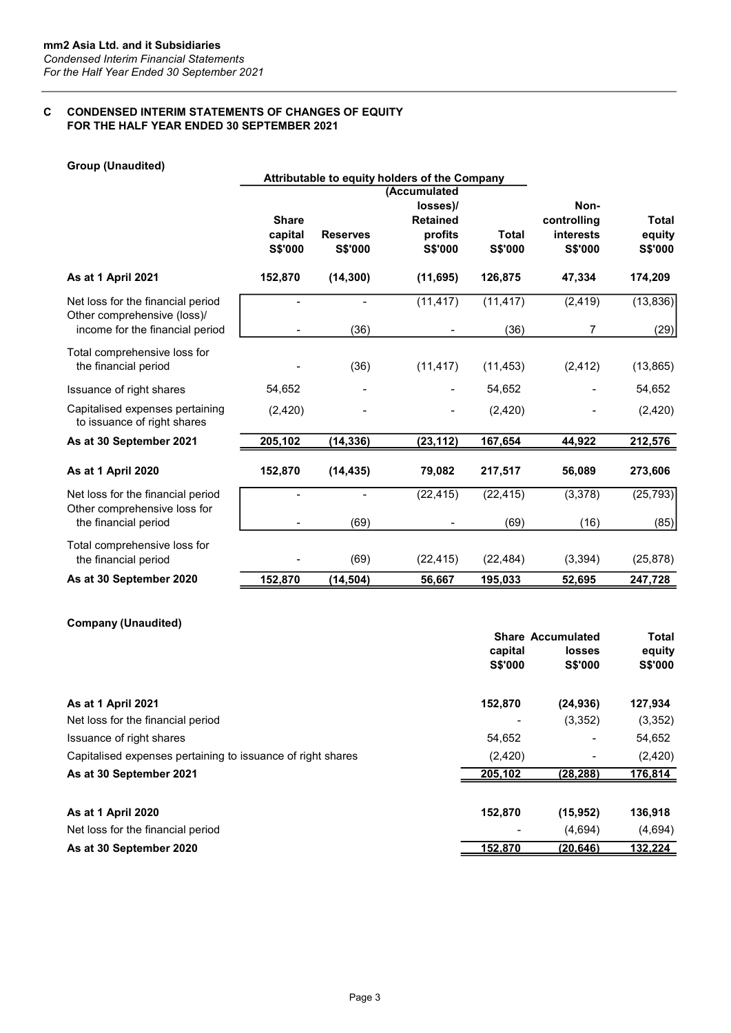# C CONDENSED INTERIM STATEMENTS OF CHANGES OF EQUITY FOR THE HALF YEAR ENDED 30 SEPTEMBER 2021

| <b>Group (Unaudited)</b>                                         |                    |                            |                                                               |                         |                             |                   |
|------------------------------------------------------------------|--------------------|----------------------------|---------------------------------------------------------------|-------------------------|-----------------------------|-------------------|
|                                                                  |                    |                            | Attributable to equity holders of the Company<br>(Accumulated |                         |                             |                   |
|                                                                  |                    |                            | losses)/                                                      |                         | Non-                        |                   |
|                                                                  | <b>Share</b>       |                            | <b>Retained</b>                                               |                         | controlling                 | <b>Total</b>      |
|                                                                  | capital<br>S\$'000 | <b>Reserves</b><br>S\$'000 | profits<br><b>S\$'000</b>                                     | <b>Total</b><br>S\$'000 | interests<br><b>S\$'000</b> | equity<br>S\$'000 |
| As at 1 April 2021                                               | 152,870            | (14, 300)                  | (11, 695)                                                     | 126,875                 | 47,334                      | 174,209           |
|                                                                  |                    |                            |                                                               |                         |                             |                   |
| Net loss for the financial period<br>Other comprehensive (loss)/ |                    |                            | (11, 417)                                                     | (11, 417)               | (2, 419)                    | (13, 836)         |
| income for the financial period                                  |                    | (36)                       |                                                               | (36)                    | 7                           | (29)              |
| Total comprehensive loss for                                     |                    |                            |                                                               |                         |                             |                   |
| the financial period                                             |                    | (36)                       | (11, 417)                                                     | (11, 453)               | (2, 412)                    | (13, 865)         |
| Issuance of right shares                                         | 54,652             |                            | $\blacksquare$                                                | 54,652                  |                             | 54,652            |
| Capitalised expenses pertaining<br>to issuance of right shares   | (2, 420)           |                            |                                                               | (2,420)                 |                             | (2, 420)          |
| As at 30 September 2021                                          | 205,102            | (14, 336)                  | (23, 112)                                                     | 167,654                 | 44,922                      | 212,576           |
| As at 1 April 2020                                               | 152,870            | (14, 435)                  | 79,082                                                        | 217,517                 | 56,089                      | 273,606           |
| Net loss for the financial period                                |                    |                            | (22, 415)                                                     | (22, 415)               | (3,378)                     | (25, 793)         |
| Other comprehensive loss for<br>the financial period             |                    | (69)                       |                                                               | (69)                    | (16)                        | (85)              |
| Total comprehensive loss for                                     |                    |                            |                                                               |                         |                             |                   |
| the financial period                                             |                    | (69)                       | (22, 415)                                                     | (22, 484)               | (3, 394)                    | (25, 878)         |
| As at 30 September 2020                                          | 152,870            | (14, 504)                  | 56,667                                                        | 195,033                 | 52,695                      | 247,728           |

# Company (Unaudited)

|                                                             | capital<br><b>S\$'000</b> | <b>Share Accumulated</b><br><b>losses</b><br><b>S\$'000</b> | Total<br>equity<br><b>S\$'000</b> |
|-------------------------------------------------------------|---------------------------|-------------------------------------------------------------|-----------------------------------|
| As at 1 April 2021                                          | 152,870                   | (24, 936)                                                   | 127,934                           |
| Net loss for the financial period                           |                           | (3,352)                                                     | (3,352)                           |
| Issuance of right shares                                    | 54,652                    | $\overline{\phantom{a}}$                                    | 54,652                            |
| Capitalised expenses pertaining to issuance of right shares | (2, 420)                  | $\overline{\phantom{0}}$                                    | (2, 420)                          |
| As at 30 September 2021                                     | 205,102                   | (28, 288)                                                   | 176,814                           |
| As at 1 April 2020                                          | 152,870                   | (15, 952)                                                   | 136,918                           |
| Net loss for the financial period                           |                           | (4,694)                                                     | (4,694)                           |
| As at 30 September 2020                                     | 152.870                   | (20.646)                                                    | 132,224                           |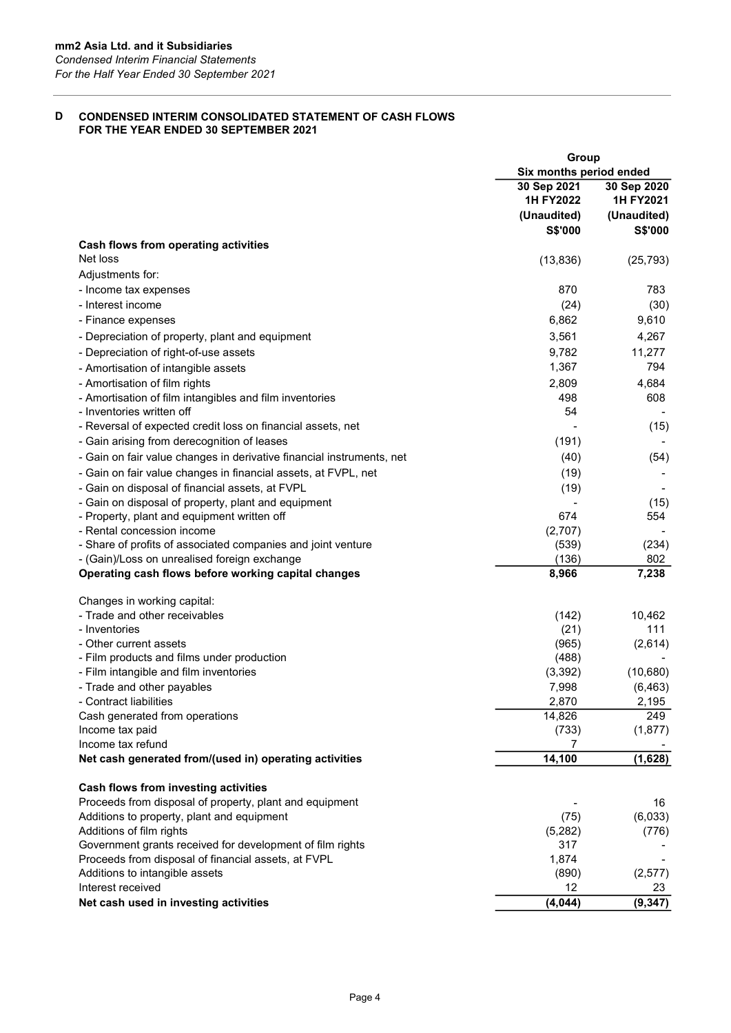# D CONDENSED INTERIM CONSOLIDATED STATEMENT OF CASH FLOWS FOR THE YEAR ENDED 30 SEPTEMBER 2021

|                                                                                                       | Group<br>Six months period ended        |                                         |  |
|-------------------------------------------------------------------------------------------------------|-----------------------------------------|-----------------------------------------|--|
|                                                                                                       | 30 Sep 2021<br>1H FY2022<br>(Unaudited) | 30 Sep 2020<br>1H FY2021<br>(Unaudited) |  |
| Cash flows from operating activities                                                                  | <b>S\$'000</b>                          | S\$'000                                 |  |
| Net loss                                                                                              | (13, 836)                               | (25, 793)                               |  |
| Adjustments for:                                                                                      |                                         |                                         |  |
| - Income tax expenses                                                                                 | 870                                     | 783                                     |  |
| - Interest income                                                                                     | (24)                                    | (30)                                    |  |
| - Finance expenses                                                                                    | 6,862                                   | 9,610                                   |  |
| - Depreciation of property, plant and equipment                                                       | 3,561                                   | 4,267                                   |  |
| - Depreciation of right-of-use assets                                                                 | 9,782                                   | 11,277                                  |  |
| - Amortisation of intangible assets                                                                   | 1,367                                   | 794                                     |  |
| - Amortisation of film rights                                                                         | 2,809                                   | 4,684                                   |  |
| - Amortisation of film intangibles and film inventories                                               | 498                                     | 608                                     |  |
| - Inventories written off                                                                             | 54                                      |                                         |  |
| - Reversal of expected credit loss on financial assets, net                                           |                                         | (15)                                    |  |
| - Gain arising from derecognition of leases                                                           | (191)                                   |                                         |  |
| - Gain on fair value changes in derivative financial instruments, net                                 | (40)                                    | (54)                                    |  |
| - Gain on fair value changes in financial assets, at FVPL, net                                        | (19)                                    |                                         |  |
| - Gain on disposal of financial assets, at FVPL                                                       | (19)                                    |                                         |  |
| - Gain on disposal of property, plant and equipment                                                   |                                         | (15)                                    |  |
| - Property, plant and equipment written off                                                           | 674                                     | 554                                     |  |
| - Rental concession income                                                                            | (2,707)                                 |                                         |  |
| - Share of profits of associated companies and joint venture                                          | (539)                                   | (234)                                   |  |
| - (Gain)/Loss on unrealised foreign exchange<br>Operating cash flows before working capital changes   | (136)<br>8,966                          | 802<br>7,238                            |  |
|                                                                                                       |                                         |                                         |  |
| Changes in working capital:                                                                           |                                         |                                         |  |
| - Trade and other receivables                                                                         | (142)                                   | 10,462                                  |  |
| - Inventories                                                                                         | (21)                                    | 111                                     |  |
| - Other current assets                                                                                | (965)                                   | (2,614)                                 |  |
| - Film products and films under production                                                            | (488)                                   |                                         |  |
| - Film intangible and film inventories<br>- Trade and other payables                                  | (3, 392)                                | (10,680)                                |  |
| - Contract liabilities                                                                                | 7,998<br>2,870                          | (6, 463)<br>2,195                       |  |
| Cash generated from operations                                                                        | 14,826                                  | 249                                     |  |
| Income tax paid                                                                                       | (733)                                   | (1, 877)                                |  |
| Income tax refund                                                                                     | 7                                       |                                         |  |
| Net cash generated from/(used in) operating activities                                                | 14,100                                  | (1,628)                                 |  |
|                                                                                                       |                                         |                                         |  |
| Cash flows from investing activities                                                                  |                                         |                                         |  |
| Proceeds from disposal of property, plant and equipment<br>Additions to property, plant and equipment | (75)                                    | 16<br>(6,033)                           |  |
| Additions of film rights                                                                              | (5,282)                                 | (776)                                   |  |
| Government grants received for development of film rights                                             | 317                                     |                                         |  |
| Proceeds from disposal of financial assets, at FVPL                                                   | 1,874                                   |                                         |  |
| Additions to intangible assets                                                                        | (890)                                   | (2,577)                                 |  |
| Interest received                                                                                     | 12                                      | 23                                      |  |
| Net cash used in investing activities                                                                 | (4, 044)                                | (9, 347)                                |  |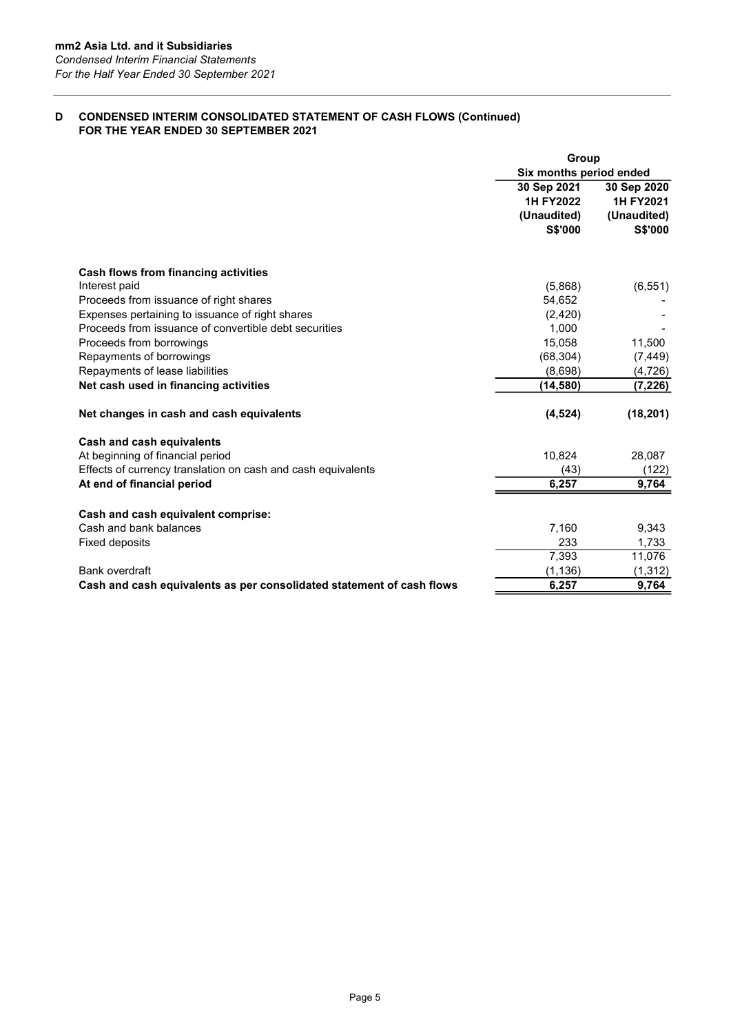# D CONDENSED INTERIM CONSOLIDATED STATEMENT OF CASH FLOWS (Continued) FOR THE YEAR ENDED 30 SEPTEMBER 2021

|                                                                       | Group                   |             |  |
|-----------------------------------------------------------------------|-------------------------|-------------|--|
|                                                                       | Six months period ended |             |  |
|                                                                       | 30 Sep 2021             | 30 Sep 2020 |  |
|                                                                       | 1H FY2022               | 1H FY2021   |  |
|                                                                       | (Unaudited)             | (Unaudited) |  |
|                                                                       | <b>S\$'000</b>          | S\$'000     |  |
| Cash flows from financing activities                                  |                         |             |  |
| Interest paid                                                         | (5,868)                 | (6, 551)    |  |
| Proceeds from issuance of right shares                                | 54,652                  |             |  |
| Expenses pertaining to issuance of right shares                       | (2, 420)                |             |  |
| Proceeds from issuance of convertible debt securities                 | 1.000                   |             |  |
| Proceeds from borrowings                                              | 15,058                  | 11,500      |  |
| Repayments of borrowings                                              | (68, 304)               | (7, 449)    |  |
| Repayments of lease liabilities                                       | (8,698)                 | (4, 726)    |  |
| Net cash used in financing activities                                 | (14,580)                | (7, 226)    |  |
| Net changes in cash and cash equivalents                              | (4, 524)                | (18, 201)   |  |
| <b>Cash and cash equivalents</b>                                      |                         |             |  |
| At beginning of financial period                                      | 10,824                  | 28,087      |  |
| Effects of currency translation on cash and cash equivalents          | (43)                    | (122)       |  |
| At end of financial period                                            | 6,257                   | 9,764       |  |
| Cash and cash equivalent comprise:                                    |                         |             |  |
| Cash and bank balances                                                | 7,160                   | 9,343       |  |
| <b>Fixed deposits</b>                                                 | 233                     | 1,733       |  |
|                                                                       | 7,393                   | 11,076      |  |
| Bank overdraft                                                        | (1, 136)                | (1, 312)    |  |
| Cash and cash equivalents as per consolidated statement of cash flows | 6,257                   | 9,764       |  |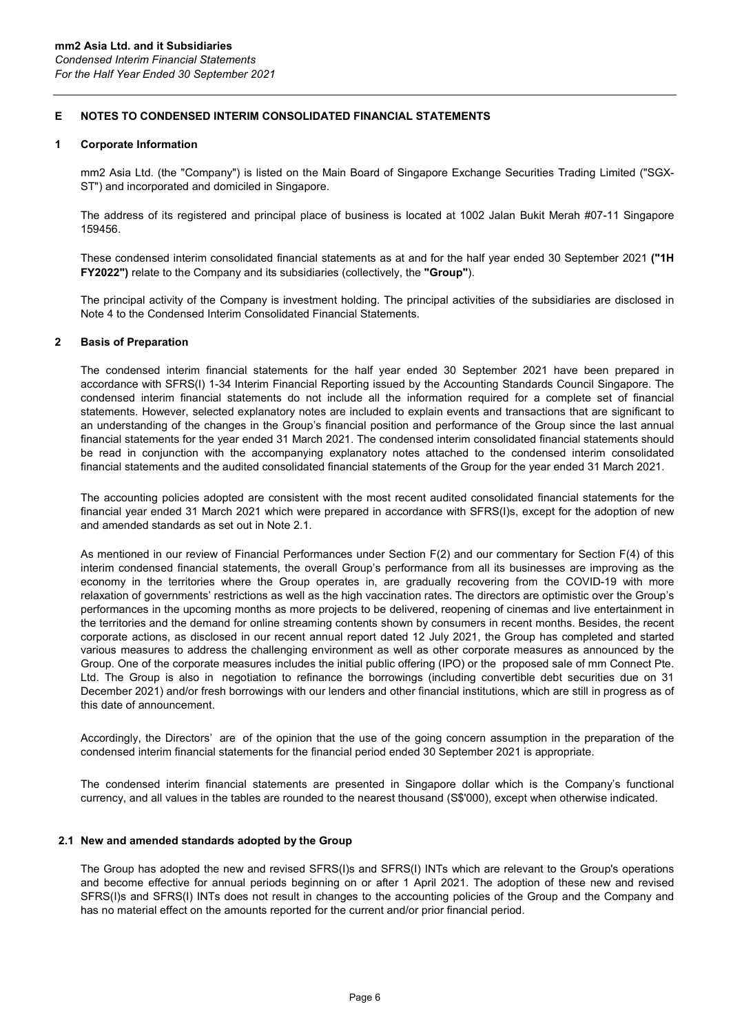# E NOTES TO CONDENSED INTERIM CONSOLIDATED FINANCIAL STATEMENTS

#### 1 Corporate Information

mm2 Asia Ltd. (the "Company") is listed on the Main Board of Singapore Exchange Securities Trading Limited ("SGX-ST") and incorporated and domiciled in Singapore.

The address of its registered and principal place of business is located at 1002 Jalan Bukit Merah #07-11 Singapore 159456.

These condensed interim consolidated financial statements as at and for the half year ended 30 September 2021 ("1H FY2022") relate to the Company and its subsidiaries (collectively, the "Group").

The principal activity of the Company is investment holding. The principal activities of the subsidiaries are disclosed in Note 4 to the Condensed Interim Consolidated Financial Statements.

### 2 Basis of Preparation

The condensed interim financial statements for the half year ended 30 September 2021 have been prepared in accordance with SFRS(I) 1-34 Interim Financial Reporting issued by the Accounting Standards Council Singapore. The condensed interim financial statements do not include all the information required for a complete set of financial statements. However, selected explanatory notes are included to explain events and transactions that are significant to an understanding of the changes in the Group's financial position and performance of the Group since the last annual financial statements for the year ended 31 March 2021. The condensed interim consolidated financial statements should be read in conjunction with the accompanying explanatory notes attached to the condensed interim consolidated financial statements and the audited consolidated financial statements of the Group for the year ended 31 March 2021.

The accounting policies adopted are consistent with the most recent audited consolidated financial statements for the financial year ended 31 March 2021 which were prepared in accordance with SFRS(I)s, except for the adoption of new and amended standards as set out in Note 2.1.

As mentioned in our review of Financial Performances under Section F(2) and our commentary for Section F(4) of this interim condensed financial statements, the overall Group's performance from all its businesses are improving as the economy in the territories where the Group operates in, are gradually recovering from the COVID-19 with more relaxation of governments' restrictions as well as the high vaccination rates. The directors are optimistic over the Group's performances in the upcoming months as more projects to be delivered, reopening of cinemas and live entertainment in the territories and the demand for online streaming contents shown by consumers in recent months. Besides, the recent corporate actions, as disclosed in our recent annual report dated 12 July 2021, the Group has completed and started various measures to address the challenging environment as well as other corporate measures as announced by the Group. One of the corporate measures includes the initial public offering (IPO) or the proposed sale of mm Connect Pte. Ltd. The Group is also in negotiation to refinance the borrowings (including convertible debt securities due on 31 December 2021) and/or fresh borrowings with our lenders and other financial institutions, which are still in progress as of this date of announcement.

Accordingly, the Directors' are of the opinion that the use of the going concern assumption in the preparation of the condensed interim financial statements for the financial period ended 30 September 2021 is appropriate.

The condensed interim financial statements are presented in Singapore dollar which is the Company's functional currency, and all values in the tables are rounded to the nearest thousand (S\$'000), except when otherwise indicated.

### 2.1 New and amended standards adopted by the Group

The Group has adopted the new and revised SFRS(I)s and SFRS(I) INTs which are relevant to the Group's operations and become effective for annual periods beginning on or after 1 April 2021. The adoption of these new and revised SFRS(I)s and SFRS(I) INTs does not result in changes to the accounting policies of the Group and the Company and has no material effect on the amounts reported for the current and/or prior financial period.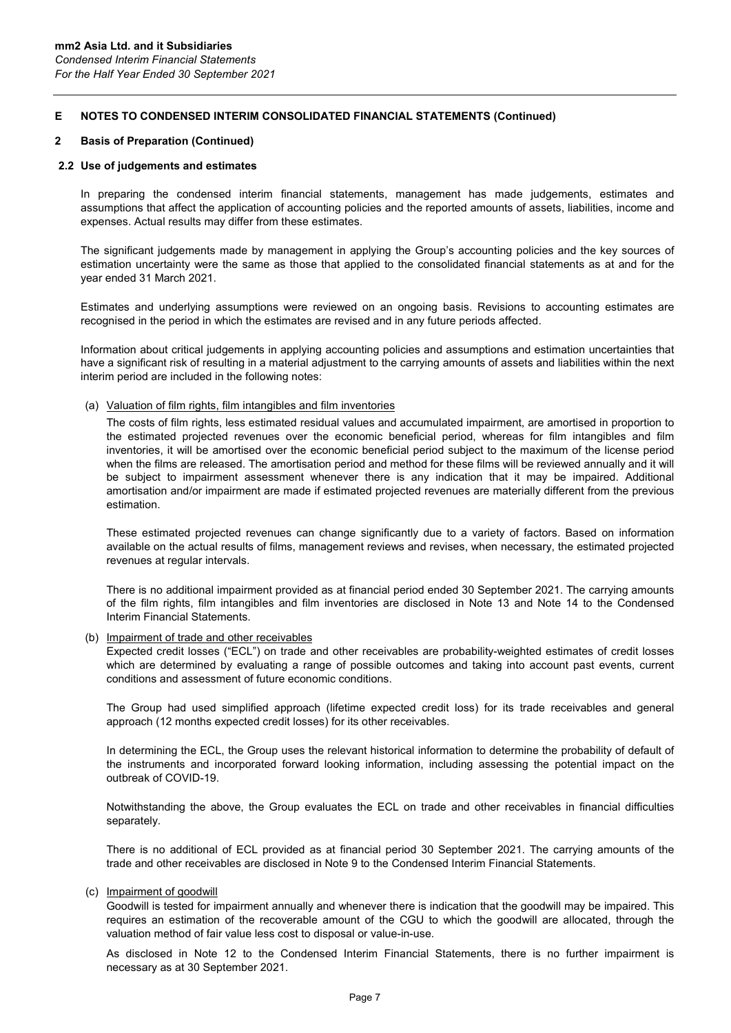### 2 Basis of Preparation (Continued)

#### 2.2 Use of judgements and estimates

In preparing the condensed interim financial statements, management has made judgements, estimates and assumptions that affect the application of accounting policies and the reported amounts of assets, liabilities, income and expenses. Actual results may differ from these estimates.

The significant judgements made by management in applying the Group's accounting policies and the key sources of estimation uncertainty were the same as those that applied to the consolidated financial statements as at and for the year ended 31 March 2021.

Estimates and underlying assumptions were reviewed on an ongoing basis. Revisions to accounting estimates are recognised in the period in which the estimates are revised and in any future periods affected.

Information about critical judgements in applying accounting policies and assumptions and estimation uncertainties that have a significant risk of resulting in a material adjustment to the carrying amounts of assets and liabilities within the next interim period are included in the following notes:

(a) Valuation of film rights, film intangibles and film inventories

The costs of film rights, less estimated residual values and accumulated impairment, are amortised in proportion to the estimated projected revenues over the economic beneficial period, whereas for film intangibles and film inventories, it will be amortised over the economic beneficial period subject to the maximum of the license period when the films are released. The amortisation period and method for these films will be reviewed annually and it will be subject to impairment assessment whenever there is any indication that it may be impaired. Additional amortisation and/or impairment are made if estimated projected revenues are materially different from the previous estimation.

These estimated projected revenues can change significantly due to a variety of factors. Based on information available on the actual results of films, management reviews and revises, when necessary, the estimated projected revenues at regular intervals.

There is no additional impairment provided as at financial period ended 30 September 2021. The carrying amounts of the film rights, film intangibles and film inventories are disclosed in Note 13 and Note 14 to the Condensed Interim Financial Statements.

(b) Impairment of trade and other receivables

Expected credit losses ("ECL") on trade and other receivables are probability-weighted estimates of credit losses which are determined by evaluating a range of possible outcomes and taking into account past events, current conditions and assessment of future economic conditions.

The Group had used simplified approach (lifetime expected credit loss) for its trade receivables and general approach (12 months expected credit losses) for its other receivables.

In determining the ECL, the Group uses the relevant historical information to determine the probability of default of the instruments and incorporated forward looking information, including assessing the potential impact on the outbreak of COVID-19.

Notwithstanding the above, the Group evaluates the ECL on trade and other receivables in financial difficulties separately.

There is no additional of ECL provided as at financial period 30 September 2021. The carrying amounts of the trade and other receivables are disclosed in Note 9 to the Condensed Interim Financial Statements.

## (c) Impairment of goodwill

Goodwill is tested for impairment annually and whenever there is indication that the goodwill may be impaired. This requires an estimation of the recoverable amount of the CGU to which the goodwill are allocated, through the valuation method of fair value less cost to disposal or value-in-use.

As disclosed in Note 12 to the Condensed Interim Financial Statements, there is no further impairment is necessary as at 30 September 2021.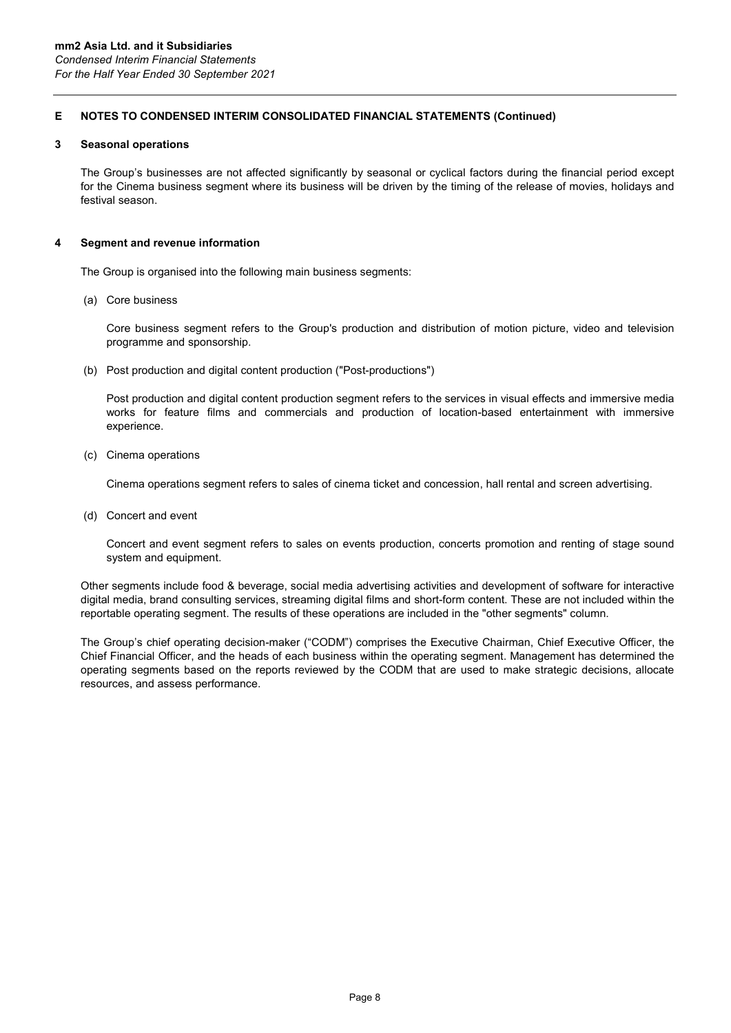## 3 Seasonal operations

The Group's businesses are not affected significantly by seasonal or cyclical factors during the financial period except for the Cinema business segment where its business will be driven by the timing of the release of movies, holidays and festival season.

## 4 Segment and revenue information

The Group is organised into the following main business segments:

(a) Core business

Core business segment refers to the Group's production and distribution of motion picture, video and television programme and sponsorship.

(b) Post production and digital content production ("Post-productions")

Post production and digital content production segment refers to the services in visual effects and immersive media works for feature films and commercials and production of location-based entertainment with immersive experience.

(c) Cinema operations

Cinema operations segment refers to sales of cinema ticket and concession, hall rental and screen advertising.

(d) Concert and event

Concert and event segment refers to sales on events production, concerts promotion and renting of stage sound system and equipment.

Other segments include food & beverage, social media advertising activities and development of software for interactive digital media, brand consulting services, streaming digital films and short-form content. These are not included within the reportable operating segment. The results of these operations are included in the "other segments" column.

The Group's chief operating decision-maker ("CODM") comprises the Executive Chairman, Chief Executive Officer, the Chief Financial Officer, and the heads of each business within the operating segment. Management has determined the operating segments based on the reports reviewed by the CODM that are used to make strategic decisions, allocate resources, and assess performance.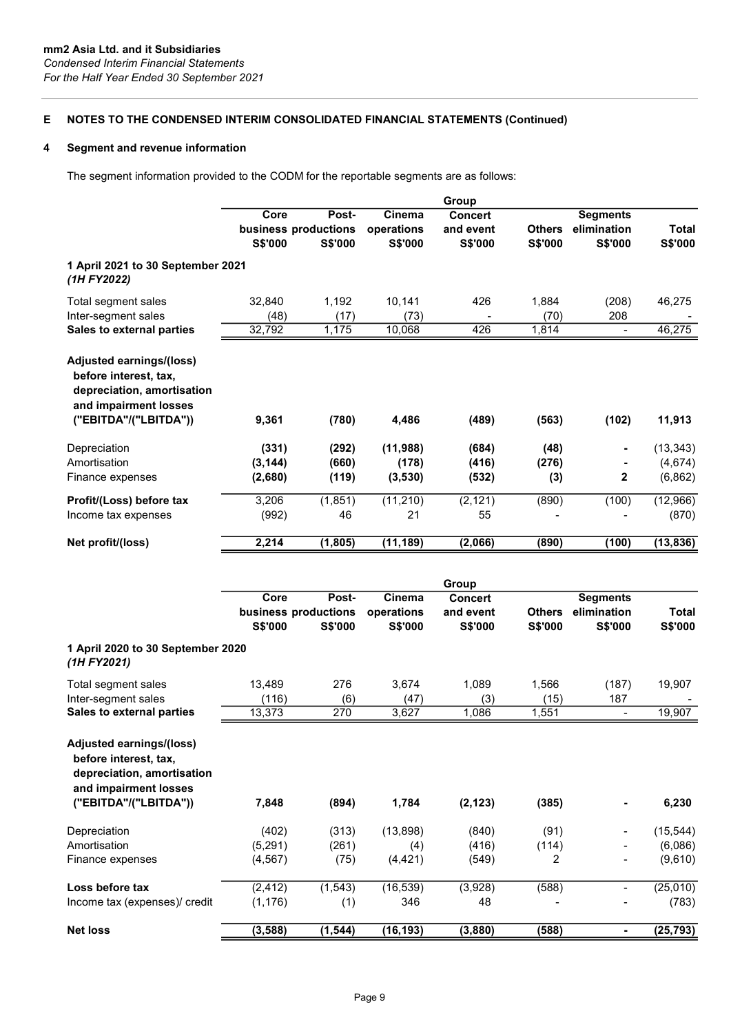## 4 Segment and revenue information

The segment information provided to the CODM for the reportable segments are as follows:

|                                                                                                                                   |                      |                |                | Group          |                |                          |           |
|-----------------------------------------------------------------------------------------------------------------------------------|----------------------|----------------|----------------|----------------|----------------|--------------------------|-----------|
|                                                                                                                                   | Core                 | Post-          | Cinema         | <b>Concert</b> |                | <b>Segments</b>          |           |
|                                                                                                                                   | business productions |                | operations     | and event      | <b>Others</b>  | elimination              | Total     |
|                                                                                                                                   | <b>S\$'000</b>       | <b>S\$'000</b> | <b>S\$'000</b> | S\$'000        | <b>S\$'000</b> | <b>S\$'000</b>           | S\$'000   |
| 1 April 2021 to 30 September 2021<br>(1H FY2022)                                                                                  |                      |                |                |                |                |                          |           |
| Total segment sales                                                                                                               | 32,840               | 1,192          | 10,141         | 426            | 1,884          | (208)                    | 46,275    |
| Inter-segment sales                                                                                                               | (48)                 | (17)           | (73)           |                | (70)           | 208                      |           |
| Sales to external parties                                                                                                         | 32,792               | 1,175          | 10,068         | 426            | 1,814          | $\overline{\phantom{a}}$ | 46,275    |
| Adjusted earnings/(loss)<br>before interest, tax,<br>depreciation, amortisation<br>and impairment losses<br>("EBITDA"/("LBITDA")) | 9,361                | (780)          | 4,486          | (489)          | (563)          | (102)                    | 11,913    |
| Depreciation                                                                                                                      | (331)                | (292)          | (11,988)       | (684)          | (48)           |                          | (13, 343) |
| Amortisation                                                                                                                      | (3, 144)             | (660)          | (178)          | (416)          | (276)          |                          | (4,674)   |
| Finance expenses                                                                                                                  | (2,680)              | (119)          | (3,530)        | (532)          | (3)            | 2                        | (6, 862)  |
| Profit/(Loss) before tax                                                                                                          | 3,206                | (1,851)        | (11, 210)      | (2, 121)       | (890)          | (100)                    | (12,966)  |
| Income tax expenses                                                                                                               | (992)                | 46             | 21             | 55             |                |                          | (870)     |
| Net profit/(loss)                                                                                                                 | 2,214                | (1, 805)       | (11, 189)      | (2,066)        | (890)          | (100)                    | (13, 836) |
|                                                                                                                                   |                      |                |                | Group          |                |                          |           |
|                                                                                                                                   |                      |                |                |                |                |                          |           |

|                                                                                                                                   | uuu                  |          |                |                |               |                          |                |
|-----------------------------------------------------------------------------------------------------------------------------------|----------------------|----------|----------------|----------------|---------------|--------------------------|----------------|
|                                                                                                                                   | Core                 | Post-    | Cinema         | <b>Concert</b> |               | <b>Segments</b>          |                |
|                                                                                                                                   | business productions |          | operations     | and event      | <b>Others</b> | elimination              | Total          |
|                                                                                                                                   | S\$'000              | S\$'000  | <b>S\$'000</b> | S\$'000        | S\$'000       | S\$'000                  | <b>S\$'000</b> |
| 1 April 2020 to 30 September 2020<br>(1H FY2021)                                                                                  |                      |          |                |                |               |                          |                |
| Total segment sales                                                                                                               | 13,489               | 276      | 3,674          | 1,089          | 1,566         | (187)                    | 19,907         |
| Inter-segment sales                                                                                                               | (116)                | (6)      | (47)           | (3)            | (15)          | 187                      |                |
| <b>Sales to external parties</b>                                                                                                  | 13,373               | 270      | 3,627          | 1,086          | 1,551         |                          | 19,907         |
| Adjusted earnings/(loss)<br>before interest, tax,<br>depreciation, amortisation<br>and impairment losses<br>("EBITDA"/("LBITDA")) | 7,848                | (894)    | 1,784          | (2, 123)       | (385)         |                          | 6,230          |
| Depreciation                                                                                                                      | (402)                | (313)    | (13,898)       | (840)          | (91)          |                          | (15, 544)      |
| Amortisation                                                                                                                      | (5, 291)             | (261)    | (4)            | (416)          | (114)         |                          | (6,086)        |
| Finance expenses                                                                                                                  | (4, 567)             | (75)     | (4, 421)       | (549)          | 2             |                          | (9,610)        |
| Loss before tax                                                                                                                   | (2, 412)             | (1, 543) | (16, 539)      | (3,928)        | (588)         | $\overline{\phantom{a}}$ | (25, 010)      |
| Income tax (expenses)/ credit                                                                                                     | (1, 176)             | (1)      | 346            | 48             |               |                          | (783)          |
| <b>Net loss</b>                                                                                                                   | (3, 588)             | (1, 544) | (16, 193)      | (3,880)        | (588)         | $\blacksquare$           | (25, 793)      |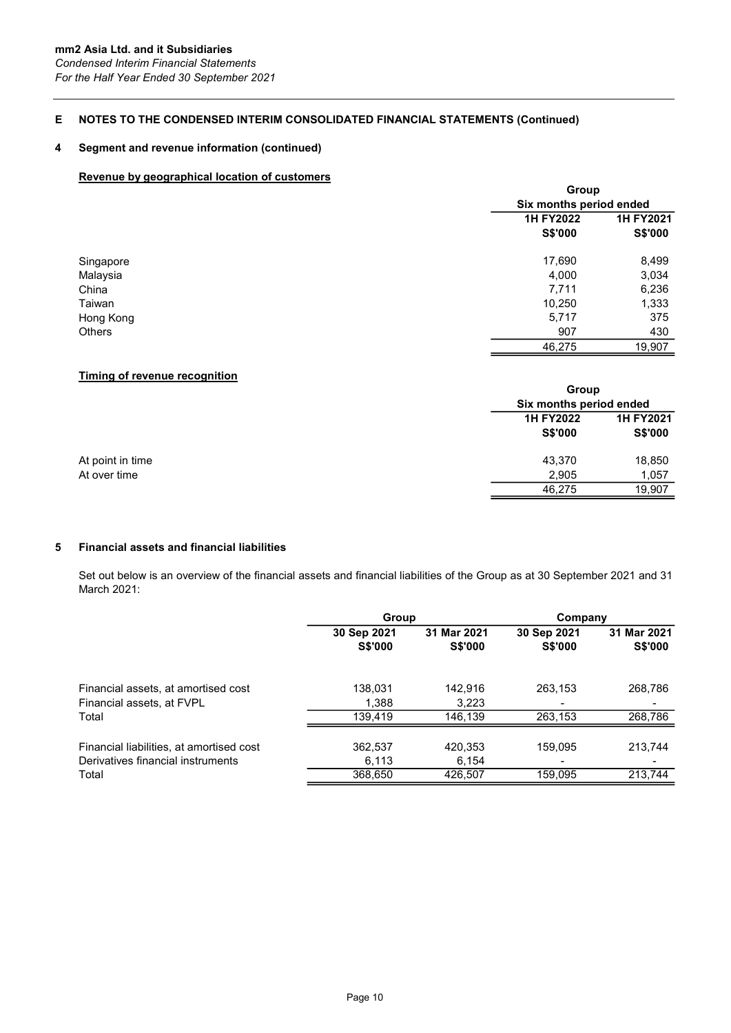# 4 Segment and revenue information (continued)

## Revenue by geographical location of customers

|           |           | Group<br>Six months period ended |  |  |
|-----------|-----------|----------------------------------|--|--|
|           |           |                                  |  |  |
|           | 1H FY2022 | 1H FY2021                        |  |  |
|           | S\$'000   | S\$'000                          |  |  |
| Singapore | 17,690    | 8,499                            |  |  |
| Malaysia  | 4,000     | 3,034                            |  |  |
| China     | 7,711     | 6,236                            |  |  |
| Taiwan    | 10,250    | 1,333                            |  |  |
| Hong Kong | 5,717     | 375                              |  |  |
| Others    | 907       | 430                              |  |  |
|           | 46,275    | 19,907                           |  |  |

## Timing of revenue recognition

|                  |                                    | Group                              |  |  |
|------------------|------------------------------------|------------------------------------|--|--|
|                  |                                    | Six months period ended            |  |  |
|                  | <b>1H FY2022</b><br><b>S\$'000</b> | <b>1H FY2021</b><br><b>S\$'000</b> |  |  |
| At point in time | 43,370                             | 18,850                             |  |  |
| At over time     | 2,905                              | 1,057                              |  |  |
|                  | 46,275                             | 19,907                             |  |  |

## 5 Financial assets and financial liabilities

Set out below is an overview of the financial assets and financial liabilities of the Group as at 30 September 2021 and 31 March 2021:

|                                          | Group          |                | Company                  |                |  |
|------------------------------------------|----------------|----------------|--------------------------|----------------|--|
|                                          | 30 Sep 2021    | 31 Mar 2021    | 30 Sep 2021              | 31 Mar 2021    |  |
|                                          | <b>S\$'000</b> | <b>S\$'000</b> | <b>S\$'000</b>           | <b>S\$'000</b> |  |
| Financial assets, at amortised cost      | 138.031        | 142,916        | 263,153                  | 268,786        |  |
| Financial assets, at FVPL                | 1.388          | 3,223          | $\overline{\phantom{0}}$ |                |  |
| Total                                    | 139.419        | 146,139        | 263,153                  | 268,786        |  |
| Financial liabilities, at amortised cost | 362.537        | 420,353        | 159.095                  | 213.744        |  |
| Derivatives financial instruments        | 6,113          | 6,154          | $\overline{\phantom{0}}$ |                |  |
| Total                                    | 368,650        | 426,507        | 159,095                  | 213,744        |  |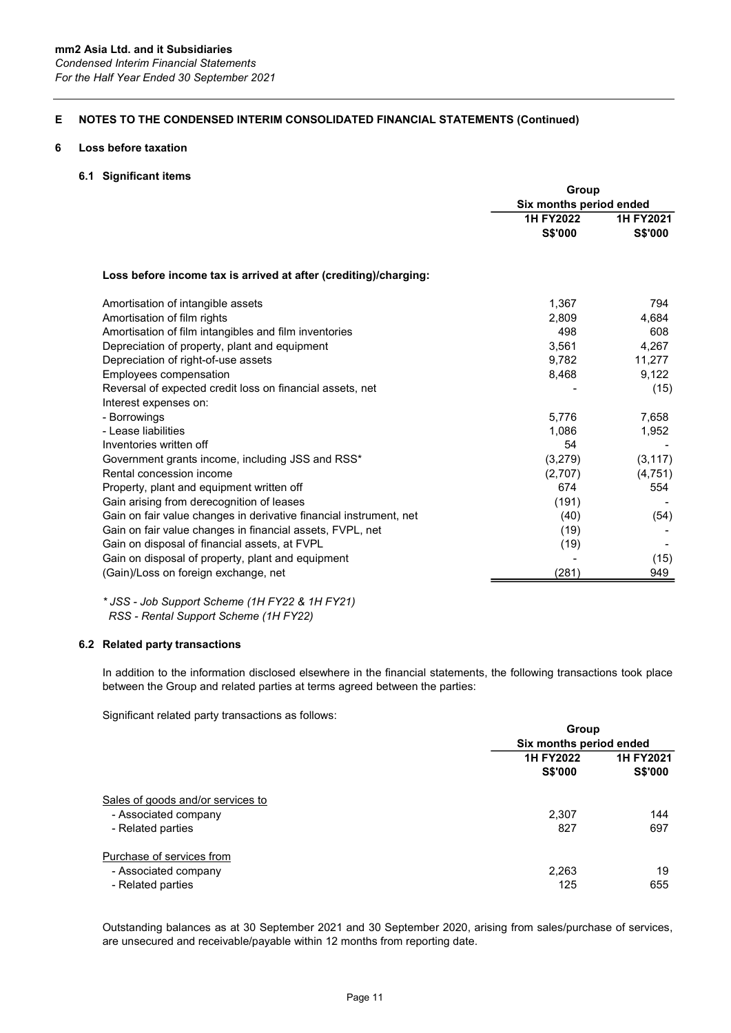## 6 Loss before taxation

## 6.1 Significant items

|                                                                    | Group                   |                |
|--------------------------------------------------------------------|-------------------------|----------------|
|                                                                    | Six months period ended |                |
|                                                                    | 1H FY2022               | 1H FY2021      |
|                                                                    | <b>S\$'000</b>          | <b>S\$'000</b> |
| Loss before income tax is arrived at after (crediting)/charging:   |                         |                |
| Amortisation of intangible assets                                  | 1,367                   | 794            |
| Amortisation of film rights                                        | 2,809                   | 4,684          |
| Amortisation of film intangibles and film inventories              | 498                     | 608            |
| Depreciation of property, plant and equipment                      | 3,561                   | 4,267          |
| Depreciation of right-of-use assets                                | 9,782                   | 11,277         |
| Employees compensation                                             | 8,468                   | 9,122          |
| Reversal of expected credit loss on financial assets, net          |                         | (15)           |
| Interest expenses on:                                              |                         |                |
| - Borrowings                                                       | 5,776                   | 7,658          |
| - I ease liabilities                                               | 1,086                   | 1,952          |
| Inventories written off                                            | 54                      |                |
| Government grants income, including JSS and RSS*                   | (3,279)                 | (3, 117)       |
| Rental concession income                                           | (2,707)                 | (4, 751)       |
| Property, plant and equipment written off                          | 674                     | 554            |
| Gain arising from derecognition of leases                          | (191)                   |                |
| Gain on fair value changes in derivative financial instrument, net | (40)                    | (54)           |
| Gain on fair value changes in financial assets, FVPL, net          | (19)                    |                |
| Gain on disposal of financial assets, at FVPL                      | (19)                    |                |
| Gain on disposal of property, plant and equipment                  |                         | (15)           |
| (Gain)/Loss on foreign exchange, net                               | (281)                   | 949            |

\* JSS - Job Support Scheme (1H FY22 & 1H FY21) RSS - Rental Support Scheme (1H FY22)

# 6.2 Related party transactions

In addition to the information disclosed elsewhere in the financial statements, the following transactions took place between the Group and related parties at terms agreed between the parties:

Significant related party transactions as follows:

|                                   | Group<br>Six months period ended   |                             |
|-----------------------------------|------------------------------------|-----------------------------|
|                                   |                                    |                             |
|                                   | <b>1H FY2022</b><br><b>S\$'000</b> | <b>1H FY2021</b><br>S\$'000 |
| Sales of goods and/or services to |                                    |                             |
| - Associated company              | 2,307                              | 144                         |
| - Related parties                 | 827                                | 697                         |
| Purchase of services from         |                                    |                             |
| - Associated company              | 2,263                              | 19                          |
| - Related parties                 | 125                                | 655                         |

Outstanding balances as at 30 September 2021 and 30 September 2020, arising from sales/purchase of services, are unsecured and receivable/payable within 12 months from reporting date.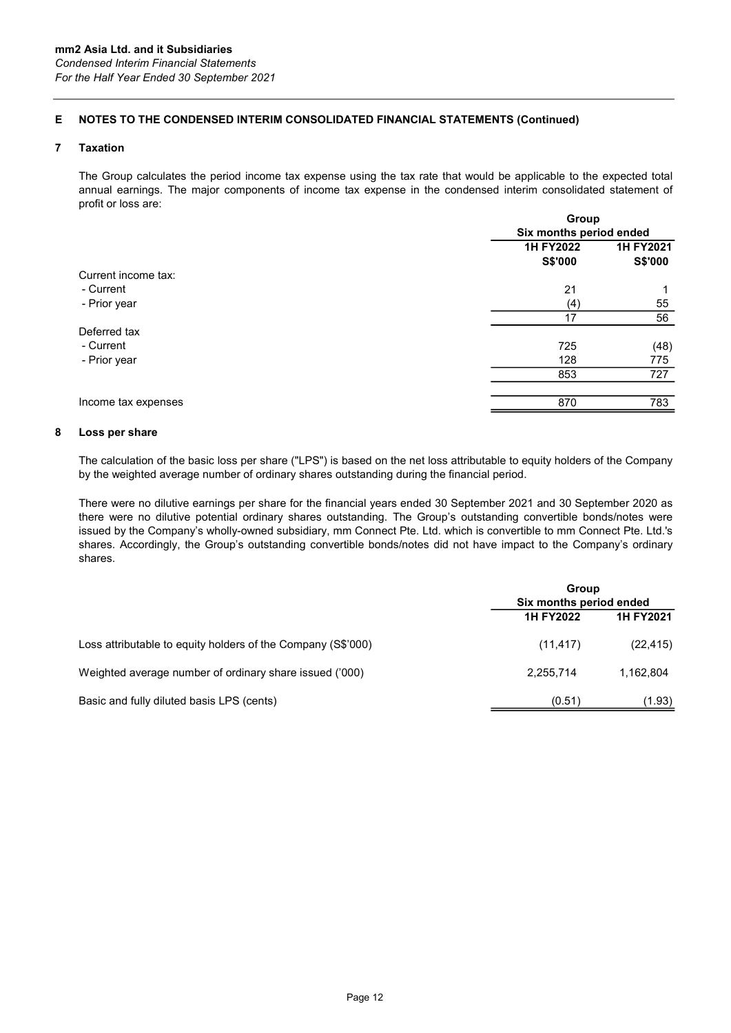## 7 Taxation

The Group calculates the period income tax expense using the tax rate that would be applicable to the expected total annual earnings. The major components of income tax expense in the condensed interim consolidated statement of profit or loss are:

|                     | Group                       |                      |
|---------------------|-----------------------------|----------------------|
|                     | Six months period ended     |                      |
|                     | 1H FY2022<br><b>S\$'000</b> | 1H FY2021<br>S\$'000 |
| Current income tax: |                             |                      |
| - Current           | 21                          | 1                    |
| - Prior year        | (4)                         | 55                   |
|                     | 17                          | 56                   |
| Deferred tax        |                             |                      |
| - Current           | 725                         | (48)                 |
| - Prior year        | 128                         | 775                  |
|                     | 853                         | 727                  |
|                     |                             |                      |
| Income tax expenses | 870                         | 783                  |

### 8 Loss per share

The calculation of the basic loss per share ("LPS") is based on the net loss attributable to equity holders of the Company by the weighted average number of ordinary shares outstanding during the financial period.

There were no dilutive earnings per share for the financial years ended 30 September 2021 and 30 September 2020 as there were no dilutive potential ordinary shares outstanding. The Group's outstanding convertible bonds/notes were issued by the Company's wholly-owned subsidiary, mm Connect Pte. Ltd. which is convertible to mm Connect Pte. Ltd.'s shares. Accordingly, the Group's outstanding convertible bonds/notes did not have impact to the Company's ordinary shares.

|                                                              | Group                   |           |
|--------------------------------------------------------------|-------------------------|-----------|
|                                                              | Six months period ended |           |
|                                                              | <b>1H FY2022</b>        | 1H FY2021 |
| Loss attributable to equity holders of the Company (S\$'000) | (11, 417)               | (22, 415) |
| Weighted average number of ordinary share issued ('000)      | 2,255,714               | 1,162,804 |
| Basic and fully diluted basis LPS (cents)                    | (0.51)                  | (1.93)    |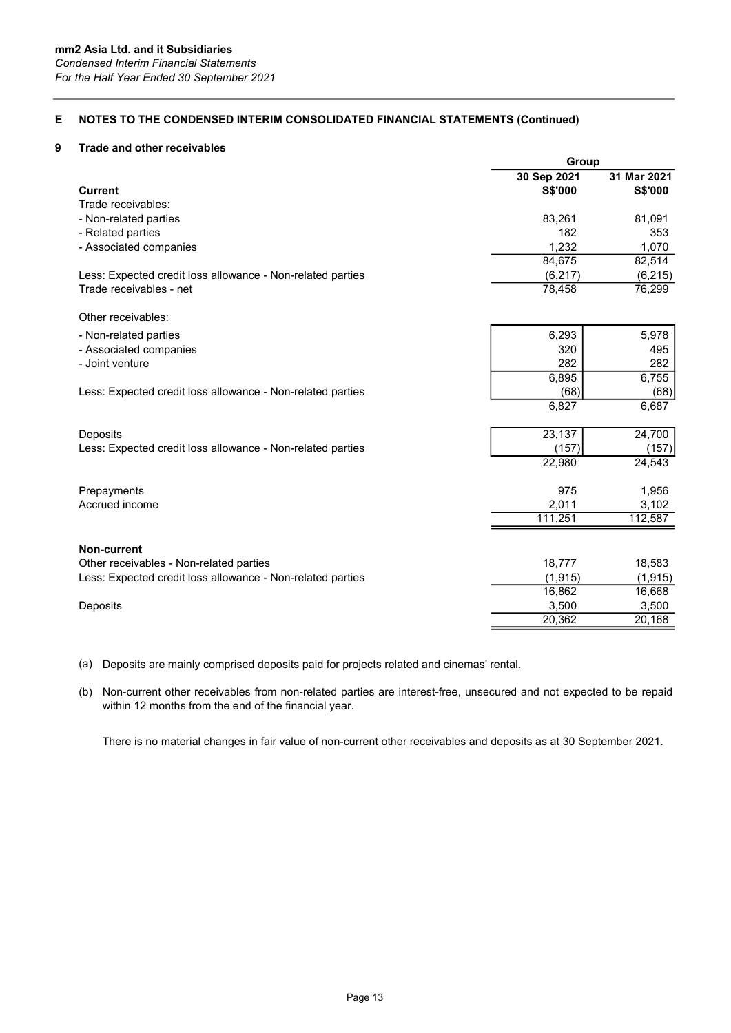## 9 Trade and other receivables

|                                                            | Group          |             |
|------------------------------------------------------------|----------------|-------------|
|                                                            | 30 Sep 2021    | 31 Mar 2021 |
| <b>Current</b>                                             | <b>S\$'000</b> | S\$'000     |
| Trade receivables:                                         |                |             |
| - Non-related parties                                      | 83,261         | 81,091      |
| - Related parties                                          | 182            | 353         |
| - Associated companies                                     | 1,232          | 1,070       |
|                                                            | 84,675         | 82,514      |
| Less: Expected credit loss allowance - Non-related parties | (6, 217)       | (6, 215)    |
| Trade receivables - net                                    | 78,458         | 76,299      |
| Other receivables:                                         |                |             |
| - Non-related parties                                      | 6,293          | 5,978       |
| - Associated companies                                     | 320            | 495         |
| - Joint venture                                            | 282            | 282         |
|                                                            | 6,895          | 6,755       |
| Less: Expected credit loss allowance - Non-related parties | (68)           | (68)        |
|                                                            | 6,827          | 6,687       |
| Deposits                                                   | 23,137         | 24,700      |
| Less: Expected credit loss allowance - Non-related parties | (157)          | (157)       |
|                                                            | 22,980         | 24,543      |
| Prepayments                                                | 975            | 1,956       |
| Accrued income                                             | 2,011          | 3,102       |
|                                                            | 111,251        | 112,587     |
| Non-current                                                |                |             |
| Other receivables - Non-related parties                    | 18,777         | 18,583      |
| Less: Expected credit loss allowance - Non-related parties | (1, 915)       | (1, 915)    |
|                                                            | 16,862         | 16,668      |
| Deposits                                                   | 3,500          | 3,500       |
|                                                            | 20,362         | 20,168      |

(a) Deposits are mainly comprised deposits paid for projects related and cinemas' rental.

(b) Non-current other receivables from non-related parties are interest-free, unsecured and not expected to be repaid within 12 months from the end of the financial year.

There is no material changes in fair value of non-current other receivables and deposits as at 30 September 2021.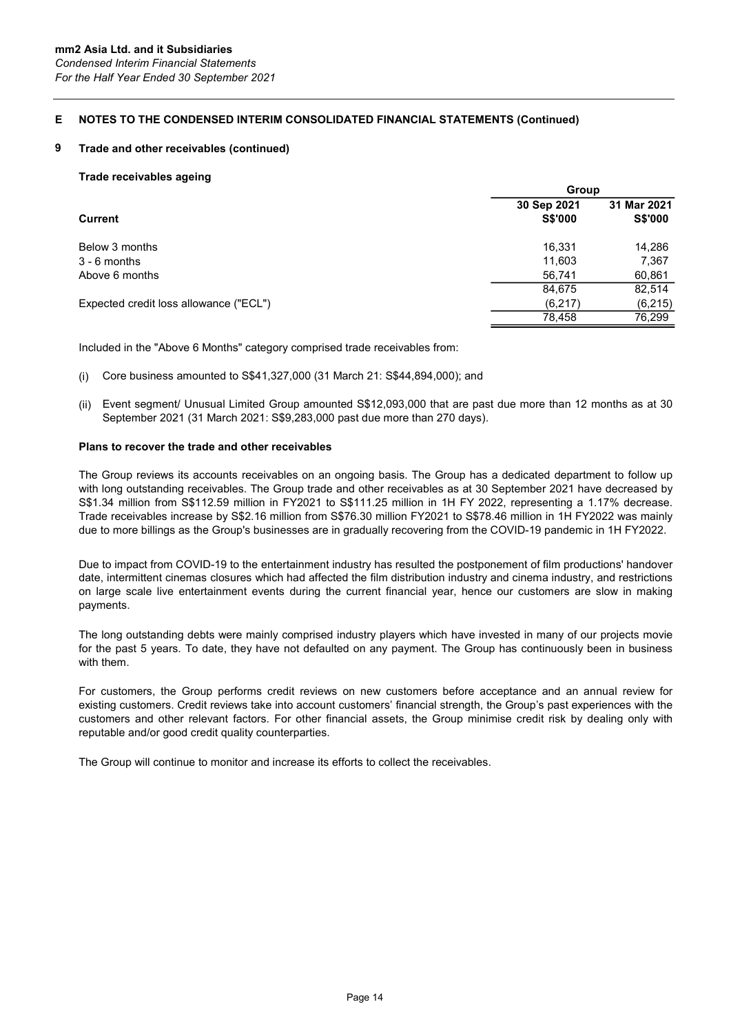## 9 Trade and other receivables (continued)

### Trade receivables ageing

|                                        | Group                         |                               |
|----------------------------------------|-------------------------------|-------------------------------|
| <b>Current</b>                         | 30 Sep 2021<br><b>S\$'000</b> | 31 Mar 2021<br><b>S\$'000</b> |
| Below 3 months                         | 16,331                        | 14,286                        |
| $3 - 6$ months                         | 11,603                        | 7,367                         |
| Above 6 months                         | 56,741                        | 60,861                        |
|                                        | 84,675                        | 82,514                        |
| Expected credit loss allowance ("ECL") | (6, 217)                      | (6, 215)                      |
|                                        | 78,458                        | 76,299                        |

Included in the "Above 6 Months" category comprised trade receivables from:

- (i) Core business amounted to S\$41,327,000 (31 March 21: S\$44,894,000); and
- (ii) Event segment/ Unusual Limited Group amounted S\$12,093,000 that are past due more than 12 months as at 30 September 2021 (31 March 2021: S\$9,283,000 past due more than 270 days).

## Plans to recover the trade and other receivables

The Group reviews its accounts receivables on an ongoing basis. The Group has a dedicated department to follow up with long outstanding receivables. The Group trade and other receivables as at 30 September 2021 have decreased by S\$1.34 million from S\$112.59 million in FY2021 to S\$111.25 million in 1H FY 2022, representing a 1.17% decrease. Trade receivables increase by S\$2.16 million from S\$76.30 million FY2021 to S\$78.46 million in 1H FY2022 was mainly due to more billings as the Group's businesses are in gradually recovering from the COVID-19 pandemic in 1H FY2022.

Due to impact from COVID-19 to the entertainment industry has resulted the postponement of film productions' handover date, intermittent cinemas closures which had affected the film distribution industry and cinema industry, and restrictions on large scale live entertainment events during the current financial year, hence our customers are slow in making payments.

The long outstanding debts were mainly comprised industry players which have invested in many of our projects movie for the past 5 years. To date, they have not defaulted on any payment. The Group has continuously been in business with them.

For customers, the Group performs credit reviews on new customers before acceptance and an annual review for existing customers. Credit reviews take into account customers' financial strength, the Group's past experiences with the customers and other relevant factors. For other financial assets, the Group minimise credit risk by dealing only with reputable and/or good credit quality counterparties.

The Group will continue to monitor and increase its efforts to collect the receivables.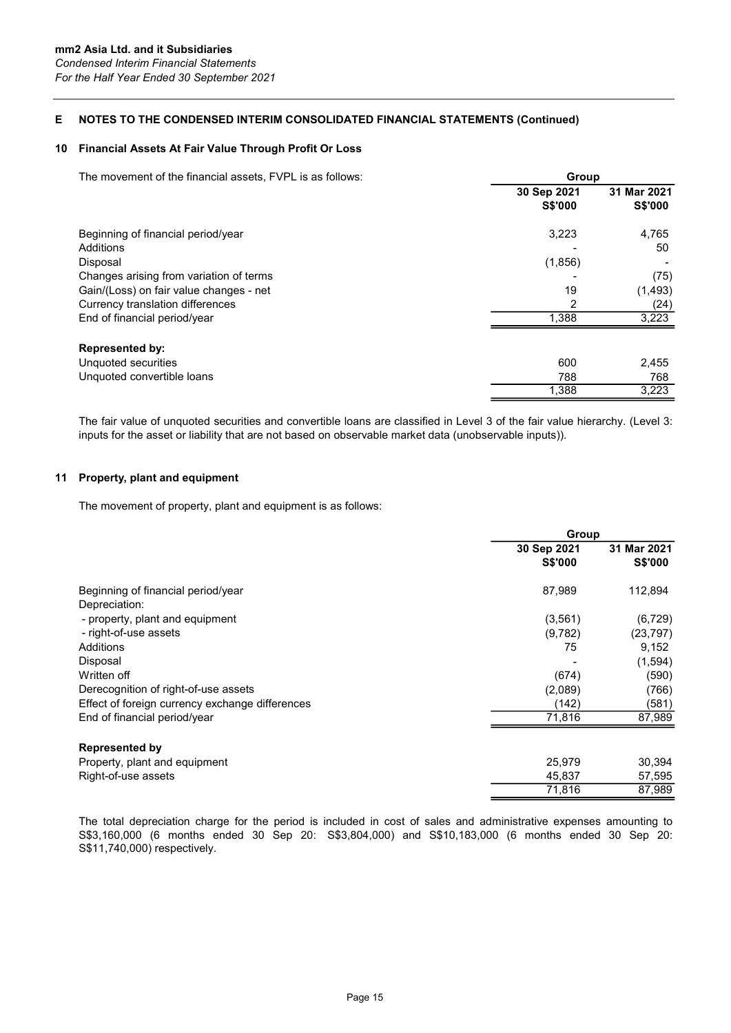## 10 Financial Assets At Fair Value Through Profit Or Loss

The movement of the financial assets, FVPL is as follows:

|                                         | 30 Sep 2021<br><b>S\$'000</b> | 31 Mar 2021<br><b>S\$'000</b> |
|-----------------------------------------|-------------------------------|-------------------------------|
| Beginning of financial period/year      | 3,223                         | 4,765                         |
| Additions                               |                               | 50                            |
| Disposal                                | (1, 856)                      |                               |
| Changes arising from variation of terms |                               | (75)                          |
| Gain/(Loss) on fair value changes - net | 19                            | (1, 493)                      |
| Currency translation differences        | 2                             | (24)                          |
| End of financial period/year            | 1,388                         | 3,223                         |
| <b>Represented by:</b>                  |                               |                               |
| Unquoted securities                     | 600                           | 2,455                         |
| Unquoted convertible loans              | 788                           | 768                           |
|                                         | 1,388                         | 3,223                         |

Group

The fair value of unquoted securities and convertible loans are classified in Level 3 of the fair value hierarchy. (Level 3: inputs for the asset or liability that are not based on observable market data (unobservable inputs)).

## 11 Property, plant and equipment

The movement of property, plant and equipment is as follows:

|                                                 | Group          |                |
|-------------------------------------------------|----------------|----------------|
|                                                 | 30 Sep 2021    | 31 Mar 2021    |
|                                                 | <b>S\$'000</b> | <b>S\$'000</b> |
| Beginning of financial period/year              | 87,989         | 112,894        |
| Depreciation:                                   |                |                |
| - property, plant and equipment                 | (3, 561)       | (6, 729)       |
| - right-of-use assets                           | (9,782)        | (23, 797)      |
| Additions                                       | 75             | 9,152          |
| Disposal                                        |                | (1,594)        |
| Written off                                     | (674)          | (590)          |
| Derecognition of right-of-use assets            | (2,089)        | (766)          |
| Effect of foreign currency exchange differences | (142)          | (581)          |
| End of financial period/year                    | 71,816         | 87,989         |
| <b>Represented by</b>                           |                |                |
| Property, plant and equipment                   | 25,979         | 30,394         |
| Right-of-use assets                             | 45,837         | 57,595         |
|                                                 | 71,816         | 87,989         |
|                                                 |                |                |

The total depreciation charge for the period is included in cost of sales and administrative expenses amounting to S\$3,160,000 (6 months ended 30 Sep 20: S\$3,804,000) and S\$10,183,000 (6 months ended 30 Sep 20: S\$11,740,000) respectively.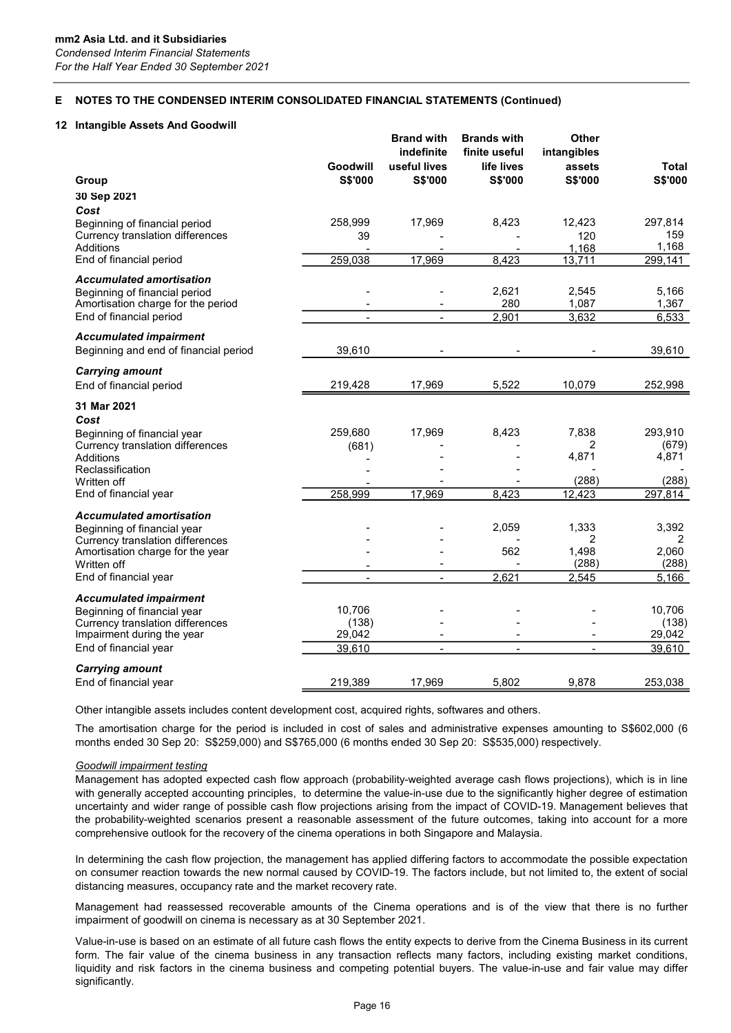## 12 Intangible Assets And Goodwill

| Group                                                                  | Goodwill<br>S\$'000 | <b>Brand with</b><br>indefinite<br>useful lives<br>S\$'000 | <b>Brands with</b><br>finite useful<br>life lives<br>S\$'000 | Other<br>intangibles<br>assets<br>S\$'000 | Total<br>S\$'000 |
|------------------------------------------------------------------------|---------------------|------------------------------------------------------------|--------------------------------------------------------------|-------------------------------------------|------------------|
| 30 Sep 2021                                                            |                     |                                                            |                                                              |                                           |                  |
| Cost                                                                   |                     |                                                            |                                                              |                                           |                  |
| Beginning of financial period                                          | 258,999             | 17,969                                                     | 8,423                                                        | 12,423                                    | 297,814          |
| Currency translation differences                                       | 39                  |                                                            |                                                              | 120                                       | 159              |
| Additions<br>End of financial period                                   |                     |                                                            | 8,423                                                        | 1.168                                     | 1,168<br>299.141 |
|                                                                        | 259,038             | 17,969                                                     |                                                              | 13,711                                    |                  |
| <b>Accumulated amortisation</b>                                        |                     |                                                            |                                                              |                                           |                  |
| Beginning of financial period<br>Amortisation charge for the period    |                     |                                                            | 2,621<br>280                                                 | 2,545<br>1,087                            | 5,166<br>1,367   |
| End of financial period                                                |                     | $\blacksquare$                                             | 2,901                                                        | 3,632                                     | 6,533            |
|                                                                        |                     |                                                            |                                                              |                                           |                  |
| <b>Accumulated impairment</b><br>Beginning and end of financial period | 39,610              |                                                            |                                                              |                                           | 39,610           |
| <b>Carrying amount</b>                                                 |                     |                                                            |                                                              |                                           |                  |
| End of financial period                                                | 219,428             | 17,969                                                     | 5,522                                                        | 10,079                                    | 252,998          |
| 31 Mar 2021                                                            |                     |                                                            |                                                              |                                           |                  |
| Cost                                                                   |                     |                                                            |                                                              |                                           |                  |
| Beginning of financial year                                            | 259,680             | 17,969                                                     | 8,423                                                        | 7,838                                     | 293,910          |
| Currency translation differences                                       | (681)               |                                                            |                                                              | 2                                         | (679)            |
| Additions                                                              |                     |                                                            |                                                              | 4,871                                     | 4,871            |
| Reclassification<br>Written off                                        |                     |                                                            |                                                              | (288)                                     | (288)            |
| End of financial year                                                  | 258,999             | 17,969                                                     | 8,423                                                        | 12,423                                    | 297,814          |
|                                                                        |                     |                                                            |                                                              |                                           |                  |
| <b>Accumulated amortisation</b><br>Beginning of financial year         |                     |                                                            | 2,059                                                        | 1,333                                     | 3,392            |
| Currency translation differences                                       |                     |                                                            |                                                              | 2                                         | 2                |
| Amortisation charge for the year                                       |                     |                                                            | 562                                                          | 1,498                                     | 2,060            |
| Written off                                                            |                     |                                                            |                                                              | (288)                                     | (288)            |
| End of financial year                                                  | $\blacksquare$      | $\blacksquare$                                             | 2,621                                                        | 2,545                                     | 5,166            |
| <b>Accumulated impairment</b>                                          |                     |                                                            |                                                              |                                           |                  |
| Beginning of financial year                                            | 10,706              |                                                            |                                                              |                                           | 10,706           |
| Currency translation differences                                       | (138)               |                                                            |                                                              |                                           | (138)            |
| Impairment during the year<br>End of financial year                    | 29,042<br>39,610    | $\overline{a}$                                             | $\sim$<br>$\overline{a}$                                     | $\blacksquare$                            | 29,042<br>39,610 |
|                                                                        |                     |                                                            |                                                              |                                           |                  |
| <b>Carrying amount</b><br>End of financial year                        | 219,389             | 17,969                                                     | 5,802                                                        | 9,878                                     | 253,038          |

Other intangible assets includes content development cost, acquired rights, softwares and others.

The amortisation charge for the period is included in cost of sales and administrative expenses amounting to S\$602,000 (6 months ended 30 Sep 20: S\$259,000) and S\$765,000 (6 months ended 30 Sep 20: S\$535,000) respectively.

#### Goodwill impairment testing

Management has adopted expected cash flow approach (probability-weighted average cash flows projections), which is in line with generally accepted accounting principles, to determine the value-in-use due to the significantly higher degree of estimation uncertainty and wider range of possible cash flow projections arising from the impact of COVID-19. Management believes that the probability-weighted scenarios present a reasonable assessment of the future outcomes, taking into account for a more comprehensive outlook for the recovery of the cinema operations in both Singapore and Malaysia.

In determining the cash flow projection, the management has applied differing factors to accommodate the possible expectation on consumer reaction towards the new normal caused by COVID-19. The factors include, but not limited to, the extent of social distancing measures, occupancy rate and the market recovery rate.

Management had reassessed recoverable amounts of the Cinema operations and is of the view that there is no further impairment of goodwill on cinema is necessary as at 30 September 2021.

Value-in-use is based on an estimate of all future cash flows the entity expects to derive from the Cinema Business in its current form. The fair value of the cinema business in any transaction reflects many factors, including existing market conditions, liquidity and risk factors in the cinema business and competing potential buyers. The value-in-use and fair value may differ significantly.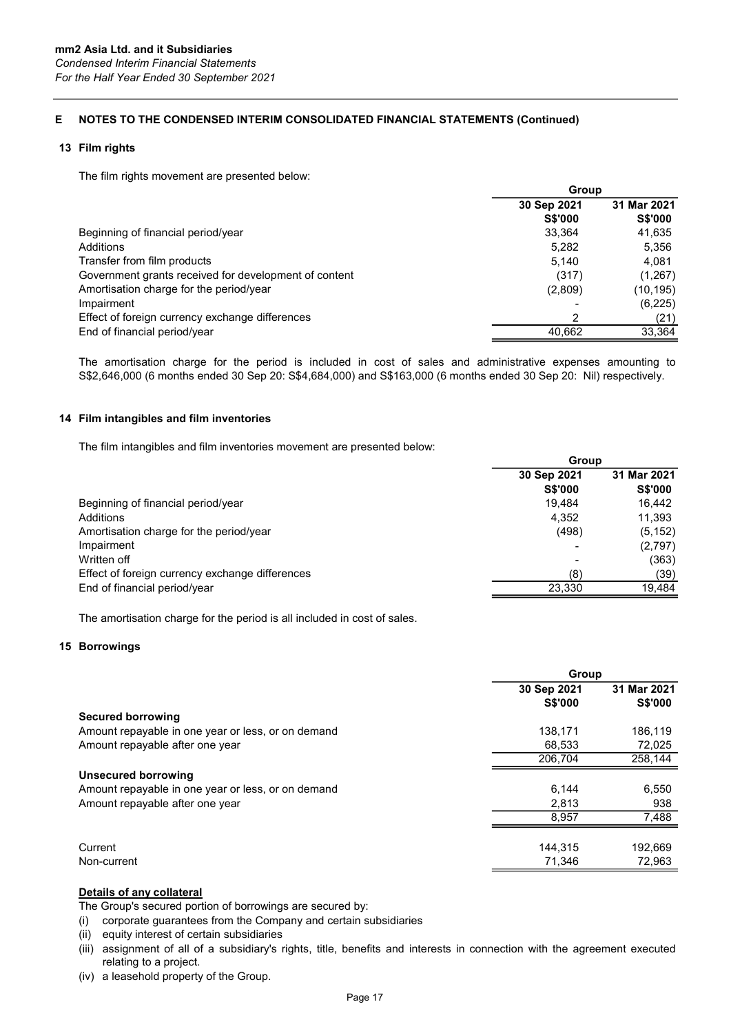## 13 Film rights

The film rights movement are presented below:

|                                                       | Group          |                |
|-------------------------------------------------------|----------------|----------------|
|                                                       | 30 Sep 2021    | 31 Mar 2021    |
|                                                       | <b>S\$'000</b> | <b>S\$'000</b> |
| Beginning of financial period/year                    | 33.364         | 41.635         |
| Additions                                             | 5.282          | 5,356          |
| Transfer from film products                           | 5.140          | 4.081          |
| Government grants received for development of content | (317)          | (1,267)        |
| Amortisation charge for the period/year               | (2,809)        | (10,195)       |
| Impairment                                            |                | (6, 225)       |
| Effect of foreign currency exchange differences       | 2              | (21)           |
| End of financial period/year                          | 40.662         | 33,364         |

The amortisation charge for the period is included in cost of sales and administrative expenses amounting to S\$2,646,000 (6 months ended 30 Sep 20: S\$4,684,000) and S\$163,000 (6 months ended 30 Sep 20: Nil) respectively.

### 14 Film intangibles and film inventories

The film intangibles and film inventories movement are presented below:

| ີ                                               | Group                         |                               |
|-------------------------------------------------|-------------------------------|-------------------------------|
|                                                 | 30 Sep 2021<br><b>S\$'000</b> | 31 Mar 2021<br><b>S\$'000</b> |
| Beginning of financial period/year              | 19.484                        | 16,442                        |
| Additions                                       | 4.352                         | 11,393                        |
| Amortisation charge for the period/year         | (498)                         | (5, 152)                      |
| Impairment                                      |                               | (2,797)                       |
| Written off                                     |                               | (363)                         |
| Effect of foreign currency exchange differences | (8)                           | (39)                          |
| End of financial period/year                    | 23,330                        | 19,484                        |

The amortisation charge for the period is all included in cost of sales.

### 15 Borrowings

|                                                    | Group                         |                               |
|----------------------------------------------------|-------------------------------|-------------------------------|
|                                                    | 30 Sep 2021<br><b>S\$'000</b> | 31 Mar 2021<br><b>S\$'000</b> |
| <b>Secured borrowing</b>                           |                               |                               |
| Amount repayable in one year or less, or on demand | 138,171                       | 186,119                       |
| Amount repayable after one year                    | 68,533                        | 72,025                        |
|                                                    | 206.704                       | 258,144                       |
| Unsecured borrowing                                |                               |                               |
| Amount repayable in one year or less, or on demand | 6.144                         | 6,550                         |
| Amount repayable after one year                    | 2.813                         | 938                           |
|                                                    | 8.957                         | 7,488                         |
|                                                    |                               |                               |
| Current                                            | 144.315                       | 192,669                       |
| Non-current                                        | 71,346                        | 72,963                        |

## Details of any collateral

The Group's secured portion of borrowings are secured by:

(i) corporate guarantees from the Company and certain subsidiaries

- (ii) equity interest of certain subsidiaries
- (iii) assignment of all of a subsidiary's rights, title, benefits and interests in connection with the agreement executed relating to a project.
- (iv) a leasehold property of the Group.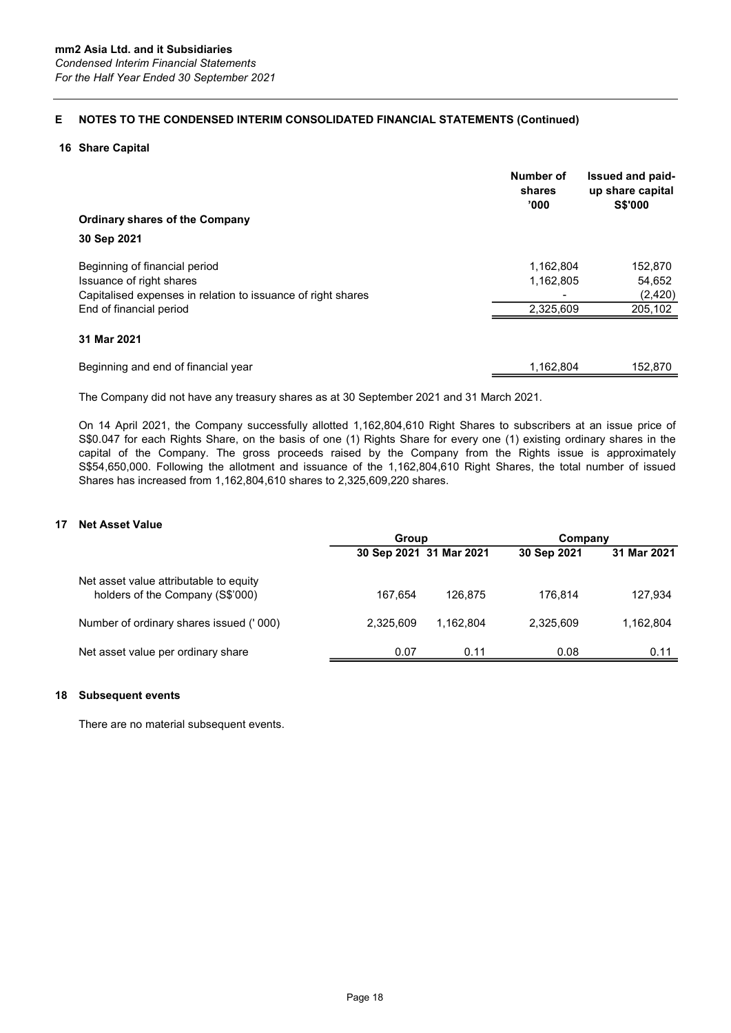### 16 Share Capital

| <b>Ordinary shares of the Company</b><br>30 Sep 2021         | Number of<br>shares<br>'000' | Issued and paid-<br>up share capital<br><b>S\$'000</b> |
|--------------------------------------------------------------|------------------------------|--------------------------------------------------------|
| Beginning of financial period<br>Issuance of right shares    | 1,162,804<br>1,162,805       | 152,870<br>54,652                                      |
| Capitalised expenses in relation to issuance of right shares |                              | (2, 420)                                               |
| End of financial period                                      | 2,325,609                    | 205,102                                                |
| 31 Mar 2021                                                  |                              |                                                        |
| Beginning and end of financial year                          | 1,162,804                    | 152,870                                                |

The Company did not have any treasury shares as at 30 September 2021 and 31 March 2021.

On 14 April 2021, the Company successfully allotted 1,162,804,610 Right Shares to subscribers at an issue price of S\$0.047 for each Rights Share, on the basis of one (1) Rights Share for every one (1) existing ordinary shares in the capital of the Company. The gross proceeds raised by the Company from the Rights issue is approximately S\$54,650,000. Following the allotment and issuance of the 1,162,804,610 Right Shares, the total number of issued Shares has increased from 1,162,804,610 shares to 2,325,609,220 shares.

### 17 Net Asset Value

|                                         | Group                   |           | Company     |             |
|-----------------------------------------|-------------------------|-----------|-------------|-------------|
|                                         | 30 Sep 2021 31 Mar 2021 |           | 30 Sep 2021 | 31 Mar 2021 |
| Net asset value attributable to equity  |                         |           |             |             |
| holders of the Company (S\$'000)        | 167.654                 | 126.875   | 176.814     | 127,934     |
| Number of ordinary shares issued ('000) | 2.325.609               | 1.162.804 | 2,325,609   | 1,162,804   |
| Net asset value per ordinary share      | 0.07                    | 0.11      | 0.08        | 0.11        |

### 18 Subsequent events

There are no material subsequent events.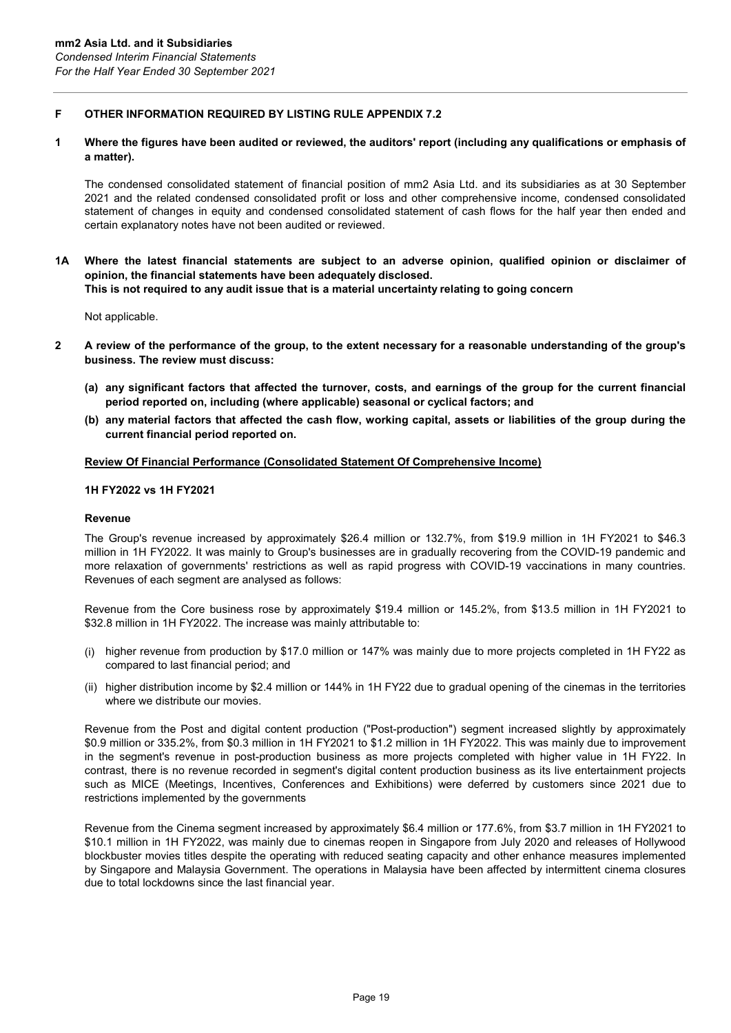# F OTHER INFORMATION REQUIRED BY LISTING RULE APPENDIX 7.2

#### 1 Where the figures have been audited or reviewed, the auditors' report (including any qualifications or emphasis of a matter).

The condensed consolidated statement of financial position of mm2 Asia Ltd. and its subsidiaries as at 30 September 2021 and the related condensed consolidated profit or loss and other comprehensive income, condensed consolidated statement of changes in equity and condensed consolidated statement of cash flows for the half year then ended and certain explanatory notes have not been audited or reviewed.

1A Where the latest financial statements are subject to an adverse opinion, qualified opinion or disclaimer of opinion, the financial statements have been adequately disclosed.

This is not required to any audit issue that is a material uncertainty relating to going concern

Not applicable.

- 2 A review of the performance of the group, to the extent necessary for a reasonable understanding of the group's business. The review must discuss:
	- (a) any significant factors that affected the turnover, costs, and earnings of the group for the current financial period reported on, including (where applicable) seasonal or cyclical factors; and
	- (b) any material factors that affected the cash flow, working capital, assets or liabilities of the group during the current financial period reported on.

## Review Of Financial Performance (Consolidated Statement Of Comprehensive Income)

#### 1H FY2022 vs 1H FY2021

## Revenue

The Group's revenue increased by approximately \$26.4 million or 132.7%, from \$19.9 million in 1H FY2021 to \$46.3 million in 1H FY2022. It was mainly to Group's businesses are in gradually recovering from the COVID-19 pandemic and more relaxation of governments' restrictions as well as rapid progress with COVID-19 vaccinations in many countries. Revenues of each segment are analysed as follows:

Revenue from the Core business rose by approximately \$19.4 million or 145.2%, from \$13.5 million in 1H FY2021 to \$32.8 million in 1H FY2022. The increase was mainly attributable to:

- (i) higher revenue from production by \$17.0 million or 147% was mainly due to more projects completed in 1H FY22 as compared to last financial period; and
- (ii) higher distribution income by \$2.4 million or 144% in 1H FY22 due to gradual opening of the cinemas in the territories where we distribute our movies.

Revenue from the Post and digital content production ("Post-production") segment increased slightly by approximately \$0.9 million or 335.2%, from \$0.3 million in 1H FY2021 to \$1.2 million in 1H FY2022. This was mainly due to improvement in the segment's revenue in post-production business as more projects completed with higher value in 1H FY22. In contrast, there is no revenue recorded in segment's digital content production business as its live entertainment projects such as MICE (Meetings, Incentives, Conferences and Exhibitions) were deferred by customers since 2021 due to restrictions implemented by the governments

Revenue from the Cinema segment increased by approximately \$6.4 million or 177.6%, from \$3.7 million in 1H FY2021 to \$10.1 million in 1H FY2022, was mainly due to cinemas reopen in Singapore from July 2020 and releases of Hollywood blockbuster movies titles despite the operating with reduced seating capacity and other enhance measures implemented by Singapore and Malaysia Government. The operations in Malaysia have been affected by intermittent cinema closures due to total lockdowns since the last financial year.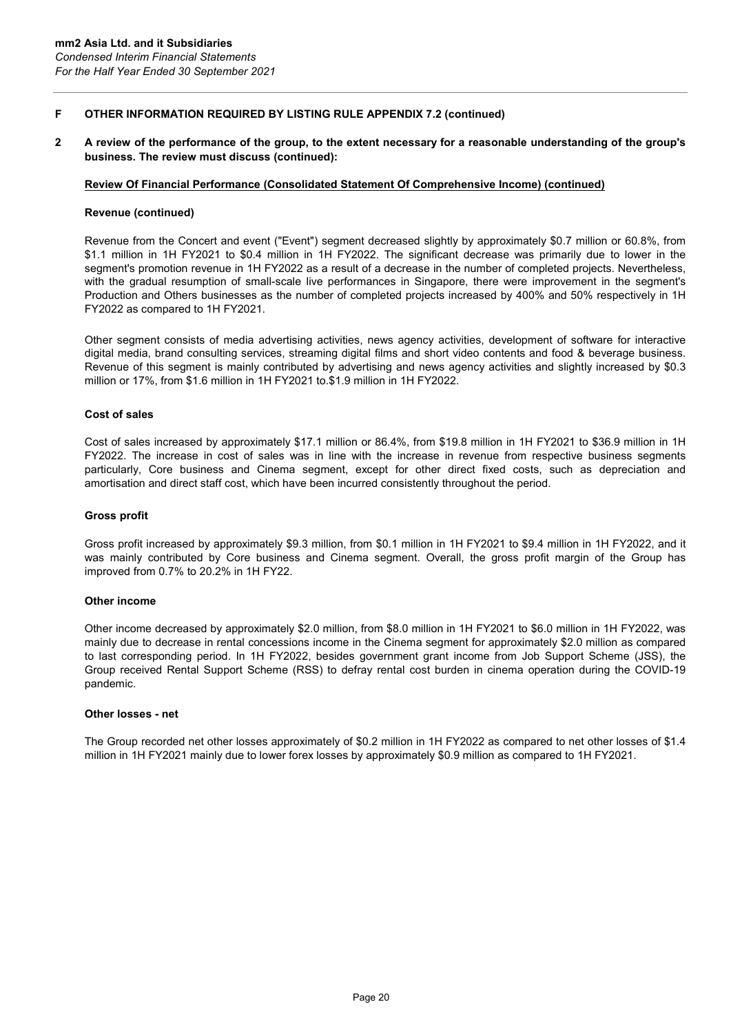#### 2 A review of the performance of the group, to the extent necessary for a reasonable understanding of the group's business. The review must discuss (continued):

#### Review Of Financial Performance (Consolidated Statement Of Comprehensive Income) (continued)

#### Revenue (continued)

Revenue from the Concert and event ("Event") segment decreased slightly by approximately \$0.7 million or 60.8%, from \$1.1 million in 1H FY2021 to \$0.4 million in 1H FY2022. The significant decrease was primarily due to lower in the segment's promotion revenue in 1H FY2022 as a result of a decrease in the number of completed projects. Nevertheless, with the gradual resumption of small-scale live performances in Singapore, there were improvement in the segment's Production and Others businesses as the number of completed projects increased by 400% and 50% respectively in 1H FY2022 as compared to 1H FY2021.

Other segment consists of media advertising activities, news agency activities, development of software for interactive digital media, brand consulting services, streaming digital films and short video contents and food & beverage business. Revenue of this segment is mainly contributed by advertising and news agency activities and slightly increased by \$0.3 million or 17%, from \$1.6 million in 1H FY2021 to.\$1.9 million in 1H FY2022.

### Cost of sales

Cost of sales increased by approximately \$17.1 million or 86.4%, from \$19.8 million in 1H FY2021 to \$36.9 million in 1H FY2022. The increase in cost of sales was in line with the increase in revenue from respective business segments particularly, Core business and Cinema segment, except for other direct fixed costs, such as depreciation and amortisation and direct staff cost, which have been incurred consistently throughout the period.

#### Gross profit

Gross profit increased by approximately \$9.3 million, from \$0.1 million in 1H FY2021 to \$9.4 million in 1H FY2022, and it was mainly contributed by Core business and Cinema segment. Overall, the gross profit margin of the Group has improved from 0.7% to 20.2% in 1H FY22.

#### Other income

Other income decreased by approximately \$2.0 million, from \$8.0 million in 1H FY2021 to \$6.0 million in 1H FY2022, was mainly due to decrease in rental concessions income in the Cinema segment for approximately \$2.0 million as compared to last corresponding period. In 1H FY2022, besides government grant income from Job Support Scheme (JSS), the Group received Rental Support Scheme (RSS) to defray rental cost burden in cinema operation during the COVID-19 pandemic.

#### Other losses - net

The Group recorded net other losses approximately of \$0.2 million in 1H FY2022 as compared to net other losses of \$1.4 million in 1H FY2021 mainly due to lower forex losses by approximately \$0.9 million as compared to 1H FY2021.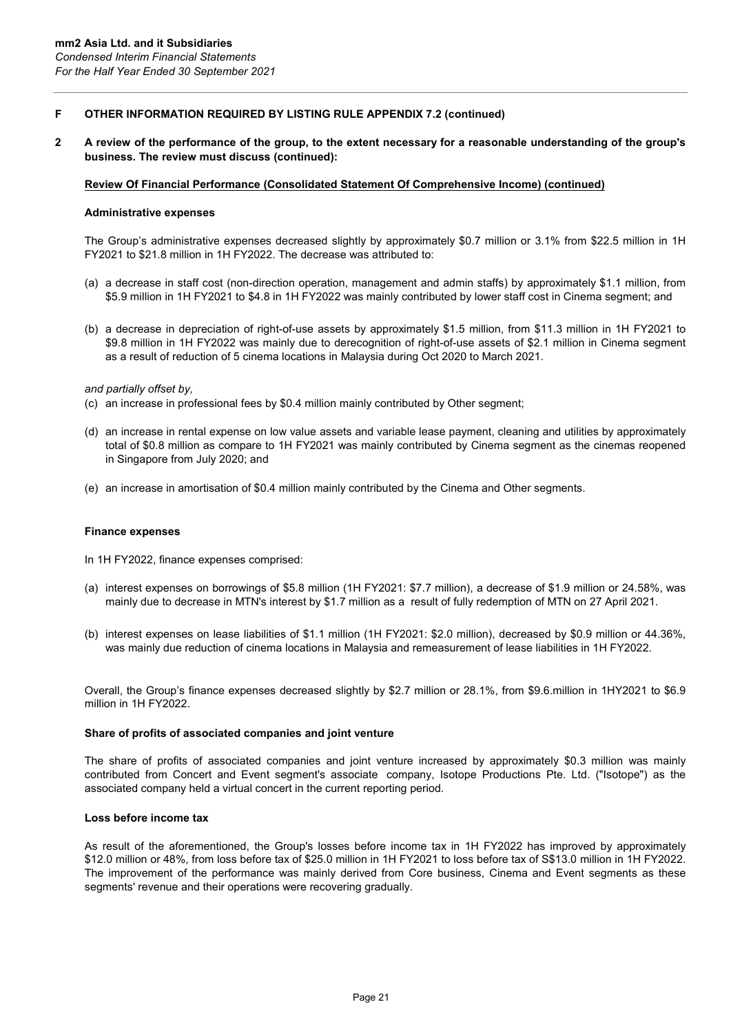#### 2 A review of the performance of the group, to the extent necessary for a reasonable understanding of the group's business. The review must discuss (continued):

#### Review Of Financial Performance (Consolidated Statement Of Comprehensive Income) (continued)

#### Administrative expenses

The Group's administrative expenses decreased slightly by approximately \$0.7 million or 3.1% from \$22.5 million in 1H FY2021 to \$21.8 million in 1H FY2022. The decrease was attributed to:

- (a) a decrease in staff cost (non-direction operation, management and admin staffs) by approximately \$1.1 million, from \$5.9 million in 1H FY2021 to \$4.8 in 1H FY2022 was mainly contributed by lower staff cost in Cinema segment; and
- (b) a decrease in depreciation of right-of-use assets by approximately \$1.5 million, from \$11.3 million in 1H FY2021 to \$9.8 million in 1H FY2022 was mainly due to derecognition of right-of-use assets of \$2.1 million in Cinema segment as a result of reduction of 5 cinema locations in Malaysia during Oct 2020 to March 2021.

and partially offset by,

- (c) an increase in professional fees by \$0.4 million mainly contributed by Other segment;
- (d) an increase in rental expense on low value assets and variable lease payment, cleaning and utilities by approximately total of \$0.8 million as compare to 1H FY2021 was mainly contributed by Cinema segment as the cinemas reopened in Singapore from July 2020; and
- (e) an increase in amortisation of \$0.4 million mainly contributed by the Cinema and Other segments.

#### Finance expenses

- In 1H FY2022, finance expenses comprised:
- (a) interest expenses on borrowings of \$5.8 million (1H FY2021: \$7.7 million), a decrease of \$1.9 million or 24.58%, was mainly due to decrease in MTN's interest by \$1.7 million as a result of fully redemption of MTN on 27 April 2021.
- (b) interest expenses on lease liabilities of \$1.1 million (1H FY2021: \$2.0 million), decreased by \$0.9 million or 44.36%, was mainly due reduction of cinema locations in Malaysia and remeasurement of lease liabilities in 1H FY2022.

Overall, the Group's finance expenses decreased slightly by \$2.7 million or 28.1%, from \$9.6.million in 1HY2021 to \$6.9 million in 1H FY2022.

#### Share of profits of associated companies and joint venture

The share of profits of associated companies and joint venture increased by approximately \$0.3 million was mainly contributed from Concert and Event segment's associate company, Isotope Productions Pte. Ltd. ("Isotope") as the associated company held a virtual concert in the current reporting period.

### Loss before income tax

As result of the aforementioned, the Group's losses before income tax in 1H FY2022 has improved by approximately \$12.0 million or 48%, from loss before tax of \$25.0 million in 1H FY2021 to loss before tax of S\$13.0 million in 1H FY2022. The improvement of the performance was mainly derived from Core business, Cinema and Event segments as these segments' revenue and their operations were recovering gradually.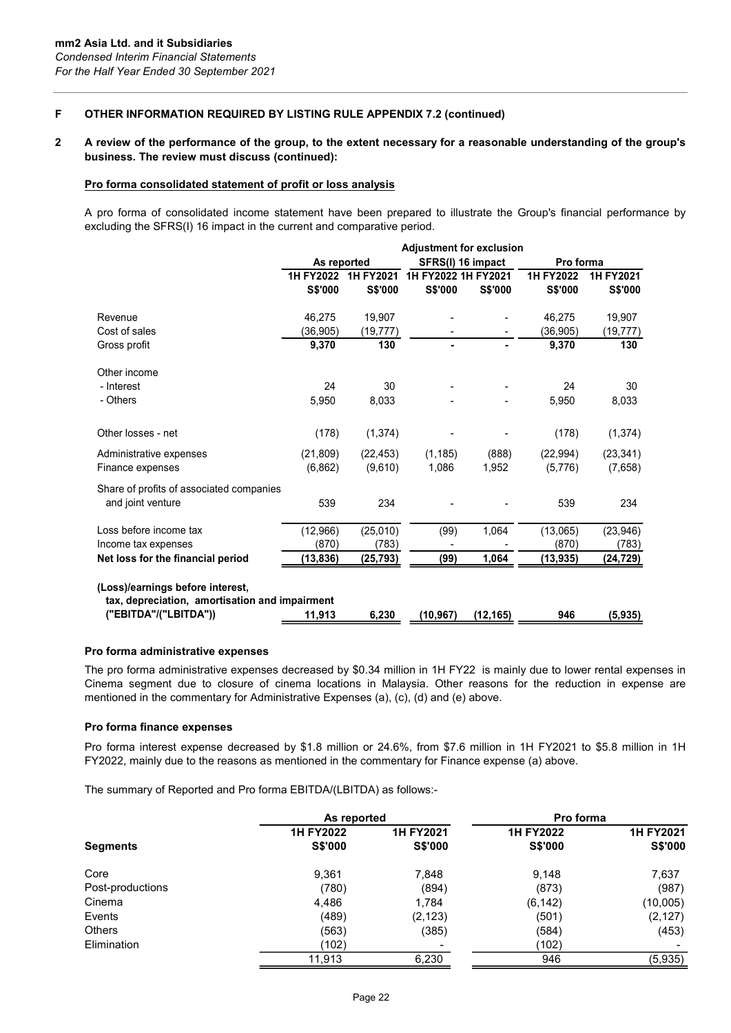#### 2 A review of the performance of the group, to the extent necessary for a reasonable understanding of the group's business. The review must discuss (continued):

#### Pro forma consolidated statement of profit or loss analysis

A pro forma of consolidated income statement have been prepared to illustrate the Group's financial performance by excluding the SFRS(I) 16 impact in the current and comparative period.

|                                                | <b>Adjustment for exclusion</b> |           |                     |                |                |                |
|------------------------------------------------|---------------------------------|-----------|---------------------|----------------|----------------|----------------|
|                                                | As reported                     |           | SFRS(I) 16 impact   |                | Pro forma      |                |
|                                                | 1H FY2022                       | 1H FY2021 | 1H FY2022 1H FY2021 |                | 1H FY2022      | 1H FY2021      |
|                                                | S\$'000                         | S\$'000   | S\$'000             | <b>S\$'000</b> | <b>S\$'000</b> | <b>S\$'000</b> |
| Revenue                                        | 46,275                          | 19,907    |                     |                | 46,275         | 19,907         |
| Cost of sales                                  | (36, 905)                       | (19, 777) |                     | $\blacksquare$ | (36, 905)      | (19, 777)      |
| Gross profit                                   | 9,370                           | 130       |                     | ۰.             | 9,370          | 130            |
| Other income                                   |                                 |           |                     |                |                |                |
| - Interest                                     | 24                              | 30        |                     |                | 24             | 30             |
| - Others                                       | 5,950                           | 8,033     |                     |                | 5,950          | 8,033          |
| Other losses - net                             | (178)                           | (1, 374)  |                     |                | (178)          | (1, 374)       |
| Administrative expenses                        | (21, 809)                       | (22, 453) | (1, 185)            | (888)          | (22, 994)      | (23, 341)      |
| Finance expenses                               | (6,862)                         | (9,610)   | 1,086               | 1,952          | (5,776)        | (7,658)        |
| Share of profits of associated companies       |                                 |           |                     |                |                |                |
| and joint venture                              | 539                             | 234       |                     |                | 539            | 234            |
| Loss before income tax                         | (12,966)                        | (25,010)  | (99)                | 1,064          | (13,065)       | (23, 946)      |
| Income tax expenses                            | (870)                           | (783)     |                     |                | (870)          | (783)          |
| Net loss for the financial period              | (13, 836)                       | (25, 793) | (99)                | 1,064          | (13, 935)      | (24, 729)      |
| (Loss)/earnings before interest,               |                                 |           |                     |                |                |                |
| tax, depreciation, amortisation and impairment |                                 |           |                     |                |                |                |
| "EBITDA"/("LBITDA"))                           | 11,913                          | 6,230     | (10, 967)           | (12, 165)      | 946            | (5, 935)       |

## Pro forma administrative expenses

The pro forma administrative expenses decreased by \$0.34 million in 1H FY22 is mainly due to lower rental expenses in Cinema segment due to closure of cinema locations in Malaysia. Other reasons for the reduction in expense are mentioned in the commentary for Administrative Expenses (a), (c), (d) and (e) above.

### Pro forma finance expenses

Pro forma interest expense decreased by \$1.8 million or 24.6%, from \$7.6 million in 1H FY2021 to \$5.8 million in 1H FY2022, mainly due to the reasons as mentioned in the commentary for Finance expense (a) above.

The summary of Reported and Pro forma EBITDA/(LBITDA) as follows:-

|                  | As reported      |                | Pro forma        |                  |  |
|------------------|------------------|----------------|------------------|------------------|--|
|                  | <b>1H FY2022</b> | 1H FY2021      | <b>1H FY2022</b> | <b>1H FY2021</b> |  |
| <b>Segments</b>  | <b>S\$'000</b>   | <b>S\$'000</b> | <b>S\$'000</b>   | <b>S\$'000</b>   |  |
| Core             | 9,361            | 7,848          | 9,148            | 7,637            |  |
| Post-productions | (780)            | (894)          | (873)            | (987)            |  |
| Cinema           | 4,486            | 1,784          | (6, 142)         | (10,005)         |  |
| Events           | (489)            | (2, 123)       | (501)            | (2, 127)         |  |
| Others           | (563)            | (385)          | (584)            | (453)            |  |
| Elimination      | (102)            | $\blacksquare$ | (102)            |                  |  |
|                  | 11,913           | 6,230          | 946              | (5,935)          |  |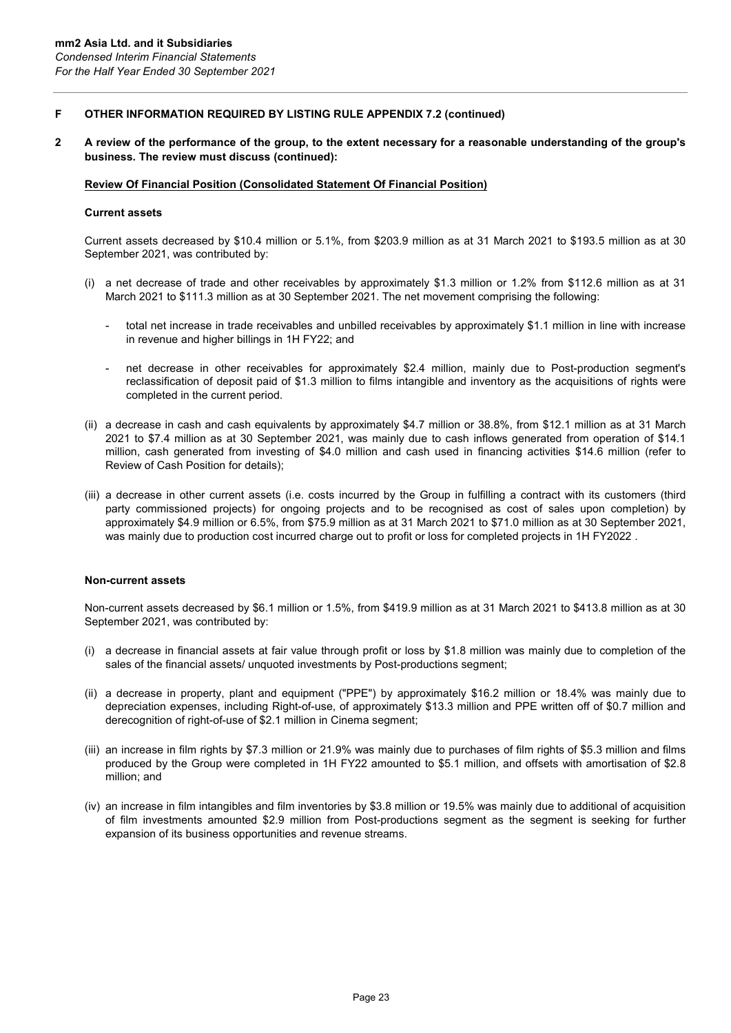#### 2 A review of the performance of the group, to the extent necessary for a reasonable understanding of the group's business. The review must discuss (continued):

#### Review Of Financial Position (Consolidated Statement Of Financial Position)

#### Current assets

Current assets decreased by \$10.4 million or 5.1%, from \$203.9 million as at 31 March 2021 to \$193.5 million as at 30 September 2021, was contributed by:

- (i) a net decrease of trade and other receivables by approximately \$1.3 million or 1.2% from \$112.6 million as at 31 March 2021 to \$111.3 million as at 30 September 2021. The net movement comprising the following:
	- total net increase in trade receivables and unbilled receivables by approximately \$1.1 million in line with increase in revenue and higher billings in 1H FY22; and
	- net decrease in other receivables for approximately \$2.4 million, mainly due to Post-production segment's reclassification of deposit paid of \$1.3 million to films intangible and inventory as the acquisitions of rights were completed in the current period.
- (ii) a decrease in cash and cash equivalents by approximately \$4.7 million or 38.8%, from \$12.1 million as at 31 March 2021 to \$7.4 million as at 30 September 2021, was mainly due to cash inflows generated from operation of \$14.1 million, cash generated from investing of \$4.0 million and cash used in financing activities \$14.6 million (refer to Review of Cash Position for details);
- (iii) a decrease in other current assets (i.e. costs incurred by the Group in fulfilling a contract with its customers (third party commissioned projects) for ongoing projects and to be recognised as cost of sales upon completion) by approximately \$4.9 million or 6.5%, from \$75.9 million as at 31 March 2021 to \$71.0 million as at 30 September 2021, was mainly due to production cost incurred charge out to profit or loss for completed projects in 1H FY2022.

#### Non-current assets

Non-current assets decreased by \$6.1 million or 1.5%, from \$419.9 million as at 31 March 2021 to \$413.8 million as at 30 September 2021, was contributed by:

- (i) a decrease in financial assets at fair value through profit or loss by \$1.8 million was mainly due to completion of the sales of the financial assets/ unquoted investments by Post-productions segment;
- (ii) a decrease in property, plant and equipment ("PPE") by approximately \$16.2 million or 18.4% was mainly due to depreciation expenses, including Right-of-use, of approximately \$13.3 million and PPE written off of \$0.7 million and derecognition of right-of-use of \$2.1 million in Cinema segment;
- (iii) an increase in film rights by \$7.3 million or 21.9% was mainly due to purchases of film rights of \$5.3 million and films produced by the Group were completed in 1H FY22 amounted to \$5.1 million, and offsets with amortisation of \$2.8 million; and
- (iv) an increase in film intangibles and film inventories by \$3.8 million or 19.5% was mainly due to additional of acquisition of film investments amounted \$2.9 million from Post-productions segment as the segment is seeking for further expansion of its business opportunities and revenue streams.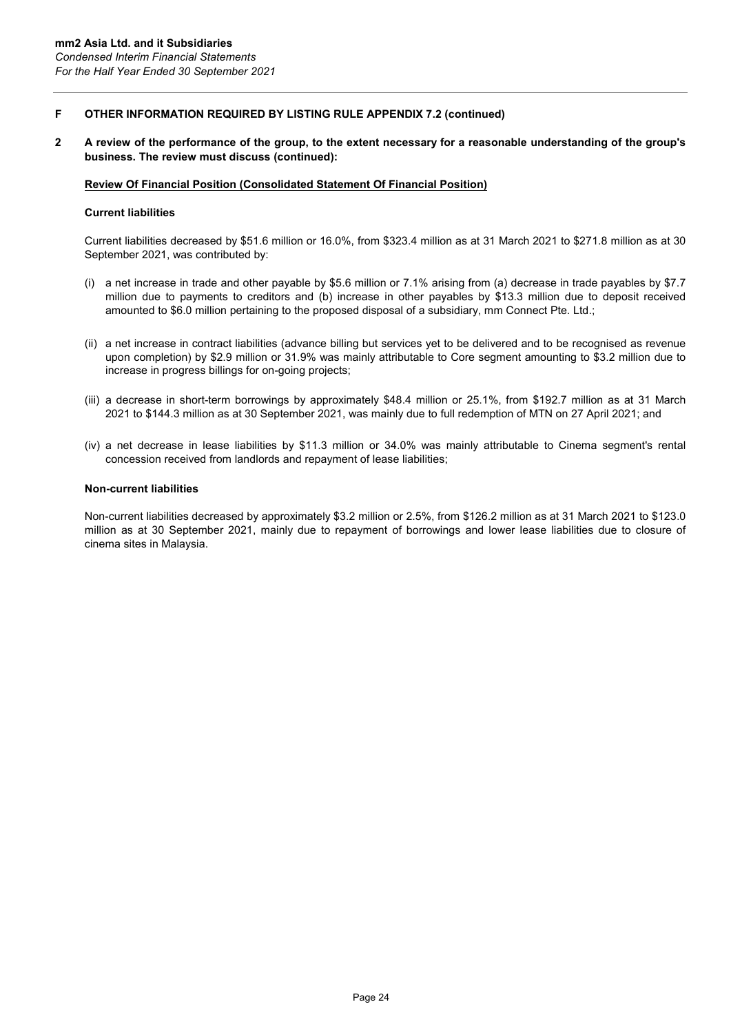#### 2 A review of the performance of the group, to the extent necessary for a reasonable understanding of the group's business. The review must discuss (continued):

#### Review Of Financial Position (Consolidated Statement Of Financial Position)

#### Current liabilities

Current liabilities decreased by \$51.6 million or 16.0%, from \$323.4 million as at 31 March 2021 to \$271.8 million as at 30 September 2021, was contributed by:

- (i) a net increase in trade and other payable by \$5.6 million or 7.1% arising from (a) decrease in trade payables by \$7.7 million due to payments to creditors and (b) increase in other payables by \$13.3 million due to deposit received amounted to \$6.0 million pertaining to the proposed disposal of a subsidiary, mm Connect Pte. Ltd.;
- (ii) a net increase in contract liabilities (advance billing but services yet to be delivered and to be recognised as revenue upon completion) by \$2.9 million or 31.9% was mainly attributable to Core segment amounting to \$3.2 million due to increase in progress billings for on-going projects;
- (iii) a decrease in short-term borrowings by approximately \$48.4 million or 25.1%, from \$192.7 million as at 31 March 2021 to \$144.3 million as at 30 September 2021, was mainly due to full redemption of MTN on 27 April 2021; and
- (iv) a net decrease in lease liabilities by \$11.3 million or 34.0% was mainly attributable to Cinema segment's rental concession received from landlords and repayment of lease liabilities;

#### Non-current liabilities

Non-current liabilities decreased by approximately \$3.2 million or 2.5%, from \$126.2 million as at 31 March 2021 to \$123.0 million as at 30 September 2021, mainly due to repayment of borrowings and lower lease liabilities due to closure of cinema sites in Malaysia.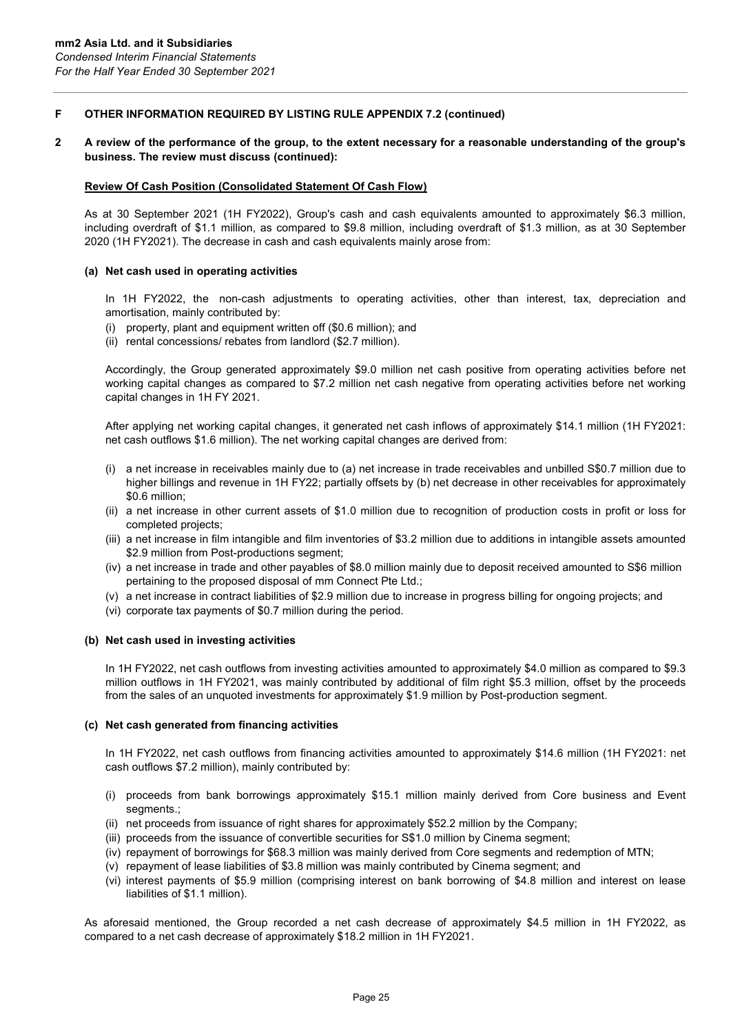#### 2 A review of the performance of the group, to the extent necessary for a reasonable understanding of the group's business. The review must discuss (continued):

#### Review Of Cash Position (Consolidated Statement Of Cash Flow)

As at 30 September 2021 (1H FY2022), Group's cash and cash equivalents amounted to approximately \$6.3 million, including overdraft of \$1.1 million, as compared to \$9.8 million, including overdraft of \$1.3 million, as at 30 September 2020 (1H FY2021). The decrease in cash and cash equivalents mainly arose from:

#### (a) Net cash used in operating activities

In 1H FY2022, the non-cash adjustments to operating activities, other than interest, tax, depreciation and amortisation, mainly contributed by:

- (i) property, plant and equipment written off (\$0.6 million); and
- (ii) rental concessions/ rebates from landlord (\$2.7 million).

Accordingly, the Group generated approximately \$9.0 million net cash positive from operating activities before net working capital changes as compared to \$7.2 million net cash negative from operating activities before net working capital changes in 1H FY 2021.

After applying net working capital changes, it generated net cash inflows of approximately \$14.1 million (1H FY2021: net cash outflows \$1.6 million). The net working capital changes are derived from:

- (i) a net increase in receivables mainly due to (a) net increase in trade receivables and unbilled S\$0.7 million due to higher billings and revenue in 1H FY22; partially offsets by (b) net decrease in other receivables for approximately \$0.6 million;
- (ii) a net increase in other current assets of \$1.0 million due to recognition of production costs in profit or loss for completed projects;
- (iii) a net increase in film intangible and film inventories of \$3.2 million due to additions in intangible assets amounted \$2.9 million from Post-productions segment;
- (iv) a net increase in trade and other payables of \$8.0 million mainly due to deposit received amounted to S\$6 million pertaining to the proposed disposal of mm Connect Pte Ltd.;
- (v) a net increase in contract liabilities of \$2.9 million due to increase in progress billing for ongoing projects; and
- (vi) corporate tax payments of \$0.7 million during the period.

#### (b) Net cash used in investing activities

In 1H FY2022, net cash outflows from investing activities amounted to approximately \$4.0 million as compared to \$9.3 million outflows in 1H FY2021, was mainly contributed by additional of film right \$5.3 million, offset by the proceeds from the sales of an unquoted investments for approximately \$1.9 million by Post-production segment.

#### (c) Net cash generated from financing activities

In 1H FY2022, net cash outflows from financing activities amounted to approximately \$14.6 million (1H FY2021: net cash outflows \$7.2 million), mainly contributed by:

- (i) proceeds from bank borrowings approximately \$15.1 million mainly derived from Core business and Event segments.:
- (ii) net proceeds from issuance of right shares for approximately \$52.2 million by the Company;
- (iii) proceeds from the issuance of convertible securities for S\$1.0 million by Cinema segment;
- (iv) repayment of borrowings for \$68.3 million was mainly derived from Core segments and redemption of MTN;
- (v) repayment of lease liabilities of \$3.8 million was mainly contributed by Cinema segment; and
- (vi) interest payments of \$5.9 million (comprising interest on bank borrowing of \$4.8 million and interest on lease liabilities of \$1.1 million).

As aforesaid mentioned, the Group recorded a net cash decrease of approximately \$4.5 million in 1H FY2022, as compared to a net cash decrease of approximately \$18.2 million in 1H FY2021.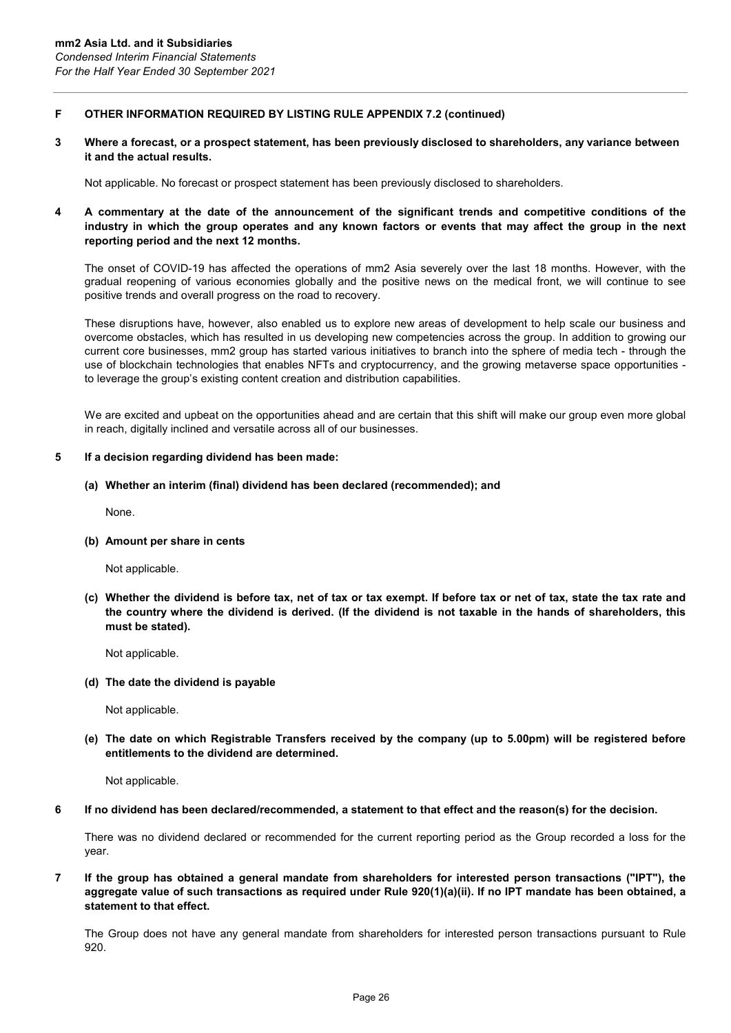3 Where a forecast, or a prospect statement, has been previously disclosed to shareholders, any variance between it and the actual results.

Not applicable. No forecast or prospect statement has been previously disclosed to shareholders.

4 A commentary at the date of the announcement of the significant trends and competitive conditions of the industry in which the group operates and any known factors or events that may affect the group in the next reporting period and the next 12 months.

The onset of COVID-19 has affected the operations of mm2 Asia severely over the last 18 months. However, with the gradual reopening of various economies globally and the positive news on the medical front, we will continue to see positive trends and overall progress on the road to recovery.

These disruptions have, however, also enabled us to explore new areas of development to help scale our business and overcome obstacles, which has resulted in us developing new competencies across the group. In addition to growing our current core businesses, mm2 group has started various initiatives to branch into the sphere of media tech - through the use of blockchain technologies that enables NFTs and cryptocurrency, and the growing metaverse space opportunities to leverage the group's existing content creation and distribution capabilities.

We are excited and upbeat on the opportunities ahead and are certain that this shift will make our group even more global in reach, digitally inclined and versatile across all of our businesses.

#### 5 If a decision regarding dividend has been made:

(a) Whether an interim (final) dividend has been declared (recommended); and

None.

(b) Amount per share in cents

Not applicable.

(c) Whether the dividend is before tax, net of tax or tax exempt. If before tax or net of tax, state the tax rate and the country where the dividend is derived. (If the dividend is not taxable in the hands of shareholders, this must be stated).

Not applicable.

#### (d) The date the dividend is payable

Not applicable.

(e) The date on which Registrable Transfers received by the company (up to 5.00pm) will be registered before entitlements to the dividend are determined.

Not applicable.

6 If no dividend has been declared/recommended, a statement to that effect and the reason(s) for the decision.

There was no dividend declared or recommended for the current reporting period as the Group recorded a loss for the year.

7 If the group has obtained a general mandate from shareholders for interested person transactions ("IPT"), the aggregate value of such transactions as required under Rule 920(1)(a)(ii). If no IPT mandate has been obtained, a statement to that effect.

The Group does not have any general mandate from shareholders for interested person transactions pursuant to Rule 920.